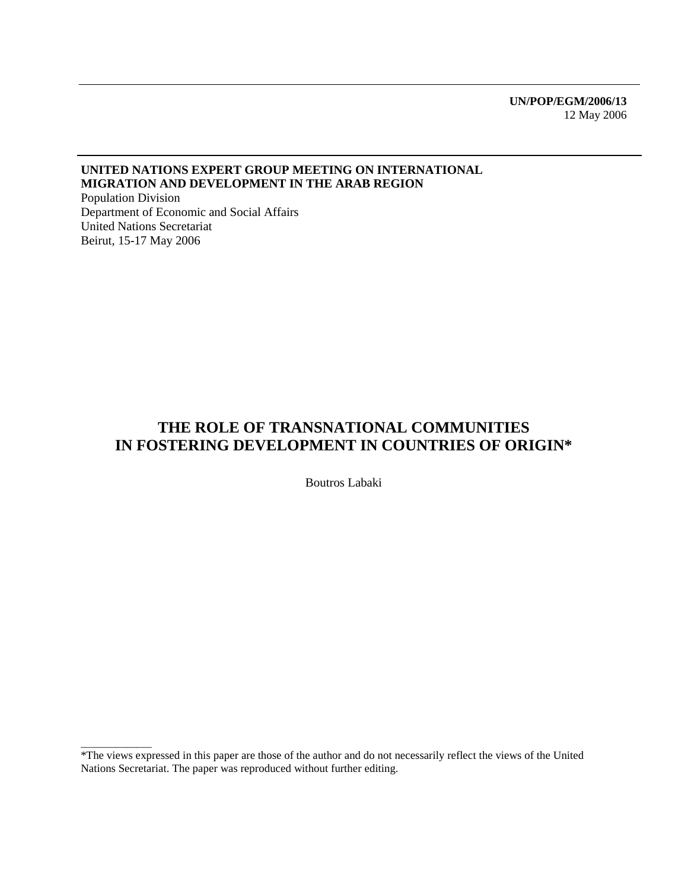**UN/POP/EGM/2006/13**  12 May 2006

#### **UNITED NATIONS EXPERT GROUP MEETING ON INTERNATIONAL MIGRATION AND DEVELOPMENT IN THE ARAB REGION**

Population Division Department of Economic and Social Affairs United Nations Secretariat Beirut, 15-17 May 2006

\_\_\_\_\_\_\_\_\_\_\_\_\_\_

### **THE ROLE OF TRANSNATIONAL COMMUNITIES IN FOSTERING DEVELOPMENT IN COUNTRIES OF ORIGIN\***

Boutros Labaki

<sup>\*</sup>The views expressed in this paper are those of the author and do not necessarily reflect the views of the United Nations Secretariat. The paper was reproduced without further editing.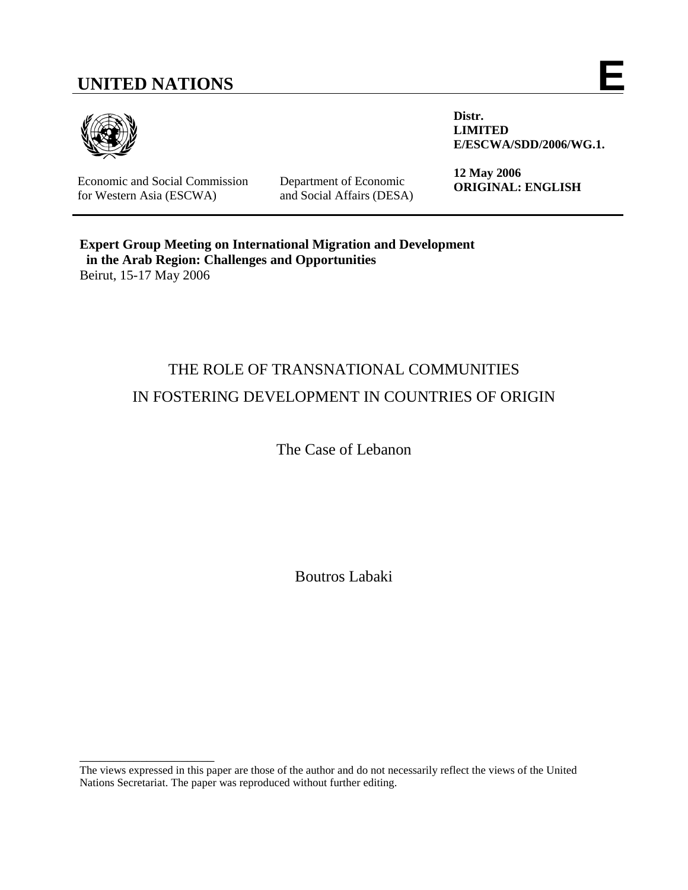# **UNITED NATIONS E**



Economic and Social Commission for Western Asia (ESCWA)

\_\_\_\_\_\_\_\_\_\_\_\_\_\_\_\_\_\_\_\_

Department of Economic and Social Affairs (DESA) **Distr. LIMITED E/ESCWA/SDD/2006/WG.1.** 

**12 May 2006 ORIGINAL: ENGLISH** 

**Expert Group Meeting on International Migration and Development in the Arab Region: Challenges and Opportunities**  Beirut, 15-17 May 2006

## THE ROLE OF TRANSNATIONAL COMMUNITIES IN FOSTERING DEVELOPMENT IN COUNTRIES OF ORIGIN

The Case of Lebanon

Boutros Labaki

The views expressed in this paper are those of the author and do not necessarily reflect the views of the United Nations Secretariat. The paper was reproduced without further editing.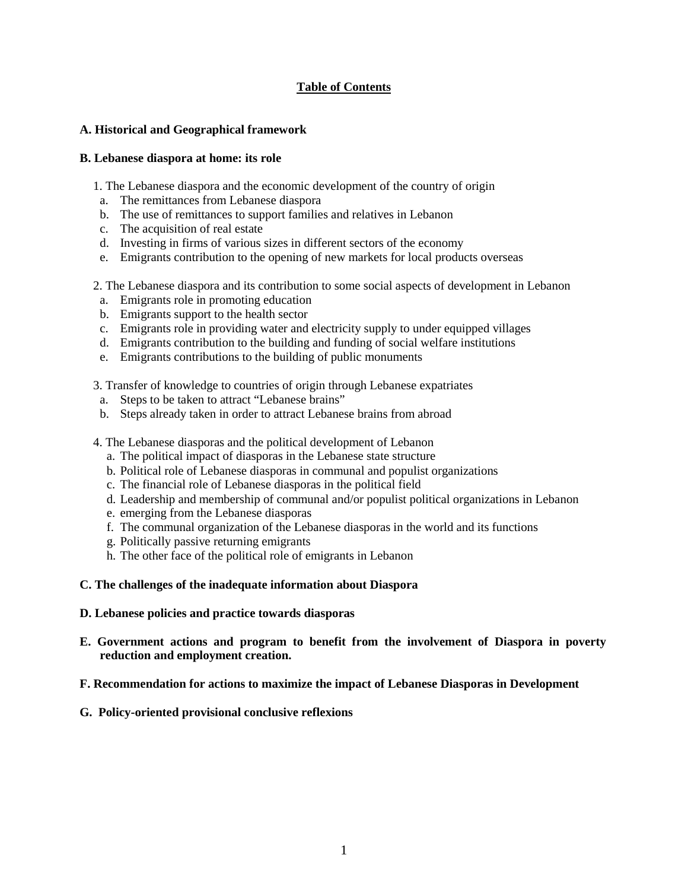#### **Table of Contents**

#### **A. Historical and Geographical framework**

#### **B. Lebanese diaspora at home: its role**

- 1. The Lebanese diaspora and the economic development of the country of origin
- a. The remittances from Lebanese diaspora
- b. The use of remittances to support families and relatives in Lebanon
- c. The acquisition of real estate
- d. Investing in firms of various sizes in different sectors of the economy
- e. Emigrants contribution to the opening of new markets for local products overseas
- 2. The Lebanese diaspora and its contribution to some social aspects of development in Lebanon
- a. Emigrants role in promoting education
- b. Emigrants support to the health sector
- c. Emigrants role in providing water and electricity supply to under equipped villages
- d. Emigrants contribution to the building and funding of social welfare institutions
- e. Emigrants contributions to the building of public monuments
- 3. Transfer of knowledge to countries of origin through Lebanese expatriates
- a. Steps to be taken to attract "Lebanese brains"
- b. Steps already taken in order to attract Lebanese brains from abroad
- 4. The Lebanese diasporas and the political development of Lebanon
	- a. The political impact of diasporas in the Lebanese state structure
	- b. Political role of Lebanese diasporas in communal and populist organizations
	- c. The financial role of Lebanese diasporas in the political field
	- d. Leadership and membership of communal and/or populist political organizations in Lebanon
	- e. emerging from the Lebanese diasporas
	- f. The communal organization of the Lebanese diasporas in the world and its functions
	- g. Politically passive returning emigrants
	- h. The other face of the political role of emigrants in Lebanon
- **C. The challenges of the inadequate information about Diaspora**
- **D. Lebanese policies and practice towards diasporas**
- **E. Government actions and program to benefit from the involvement of Diaspora in poverty reduction and employment creation.**
- **F. Recommendation for actions to maximize the impact of Lebanese Diasporas in Development**
- **G. Policy-oriented provisional conclusive reflexions**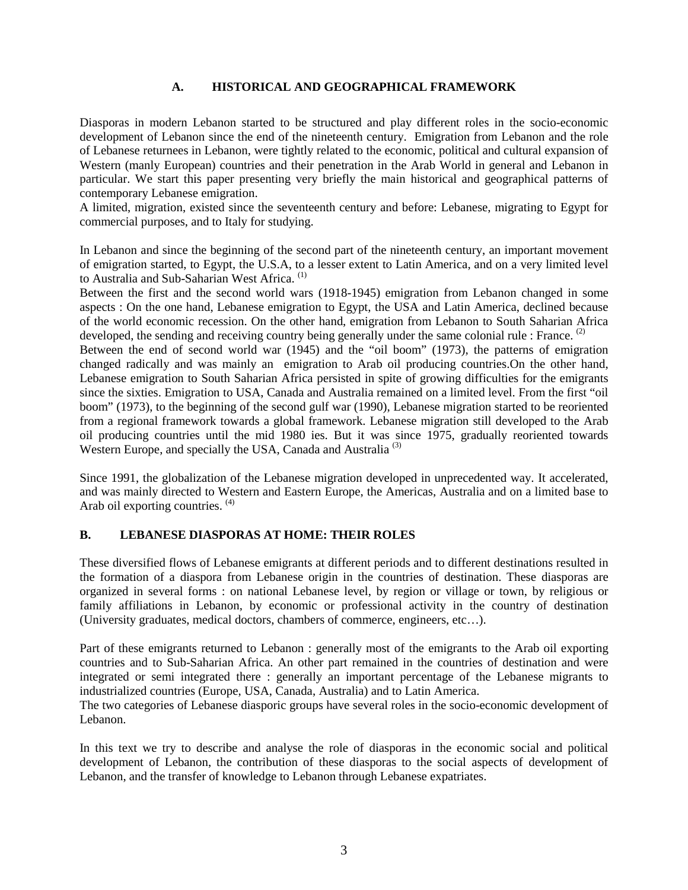#### **A. HISTORICAL AND GEOGRAPHICAL FRAMEWORK**

Diasporas in modern Lebanon started to be structured and play different roles in the socio-economic development of Lebanon since the end of the nineteenth century. Emigration from Lebanon and the role of Lebanese returnees in Lebanon, were tightly related to the economic, political and cultural expansion of Western (manly European) countries and their penetration in the Arab World in general and Lebanon in particular. We start this paper presenting very briefly the main historical and geographical patterns of contemporary Lebanese emigration.

A limited, migration, existed since the seventeenth century and before: Lebanese, migrating to Egypt for commercial purposes, and to Italy for studying.

In Lebanon and since the beginning of the second part of the nineteenth century, an important movement of emigration started, to Egypt, the U.S.A, to a lesser extent to Latin America, and on a very limited level to Australia and Sub-Saharian West Africa. (1)

Between the first and the second world wars (1918-1945) emigration from Lebanon changed in some aspects : On the one hand, Lebanese emigration to Egypt, the USA and Latin America, declined because of the world economic recession. On the other hand, emigration from Lebanon to South Saharian Africa developed, the sending and receiving country being generally under the same colonial rule : France. <sup>(2)</sup>

Between the end of second world war (1945) and the "oil boom" (1973), the patterns of emigration changed radically and was mainly an emigration to Arab oil producing countries.On the other hand, Lebanese emigration to South Saharian Africa persisted in spite of growing difficulties for the emigrants since the sixties. Emigration to USA, Canada and Australia remained on a limited level. From the first "oil boom" (1973), to the beginning of the second gulf war (1990), Lebanese migration started to be reoriented from a regional framework towards a global framework. Lebanese migration still developed to the Arab oil producing countries until the mid 1980 ies. But it was since 1975, gradually reoriented towards Western Europe, and specially the USA, Canada and Australia<sup>(3)</sup>

Since 1991, the globalization of the Lebanese migration developed in unprecedented way. It accelerated, and was mainly directed to Western and Eastern Europe, the Americas, Australia and on a limited base to Arab oil exporting countries. <sup>(4)</sup>

#### **B. LEBANESE DIASPORAS AT HOME: THEIR ROLES**

These diversified flows of Lebanese emigrants at different periods and to different destinations resulted in the formation of a diaspora from Lebanese origin in the countries of destination. These diasporas are organized in several forms : on national Lebanese level, by region or village or town, by religious or family affiliations in Lebanon, by economic or professional activity in the country of destination (University graduates, medical doctors, chambers of commerce, engineers, etc…).

Part of these emigrants returned to Lebanon : generally most of the emigrants to the Arab oil exporting countries and to Sub-Saharian Africa. An other part remained in the countries of destination and were integrated or semi integrated there : generally an important percentage of the Lebanese migrants to industrialized countries (Europe, USA, Canada, Australia) and to Latin America.

The two categories of Lebanese diasporic groups have several roles in the socio-economic development of Lebanon.

In this text we try to describe and analyse the role of diasporas in the economic social and political development of Lebanon, the contribution of these diasporas to the social aspects of development of Lebanon, and the transfer of knowledge to Lebanon through Lebanese expatriates.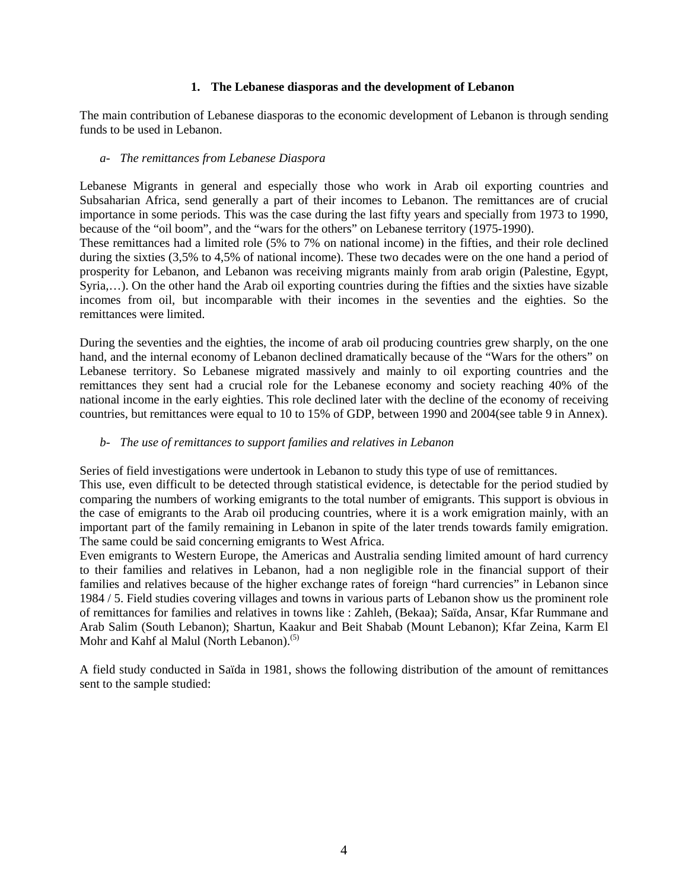#### **1. The Lebanese diasporas and the development of Lebanon**

The main contribution of Lebanese diasporas to the economic development of Lebanon is through sending funds to be used in Lebanon.

#### *a- The remittances from Lebanese Diaspora*

Lebanese Migrants in general and especially those who work in Arab oil exporting countries and Subsaharian Africa, send generally a part of their incomes to Lebanon. The remittances are of crucial importance in some periods. This was the case during the last fifty years and specially from 1973 to 1990, because of the "oil boom", and the "wars for the others" on Lebanese territory (1975-1990).

These remittances had a limited role (5% to 7% on national income) in the fifties, and their role declined during the sixties (3,5% to 4,5% of national income). These two decades were on the one hand a period of prosperity for Lebanon, and Lebanon was receiving migrants mainly from arab origin (Palestine, Egypt, Syria,...). On the other hand the Arab oil exporting countries during the fifties and the sixties have sizable incomes from oil, but incomparable with their incomes in the seventies and the eighties. So the remittances were limited.

During the seventies and the eighties, the income of arab oil producing countries grew sharply, on the one hand, and the internal economy of Lebanon declined dramatically because of the "Wars for the others" on Lebanese territory. So Lebanese migrated massively and mainly to oil exporting countries and the remittances they sent had a crucial role for the Lebanese economy and society reaching 40% of the national income in the early eighties. This role declined later with the decline of the economy of receiving countries, but remittances were equal to 10 to 15% of GDP, between 1990 and 2004(see table 9 in Annex).

#### *b- The use of remittances to support families and relatives in Lebanon*

Series of field investigations were undertook in Lebanon to study this type of use of remittances.

This use, even difficult to be detected through statistical evidence, is detectable for the period studied by comparing the numbers of working emigrants to the total number of emigrants. This support is obvious in the case of emigrants to the Arab oil producing countries, where it is a work emigration mainly, with an important part of the family remaining in Lebanon in spite of the later trends towards family emigration. The same could be said concerning emigrants to West Africa.

Even emigrants to Western Europe, the Americas and Australia sending limited amount of hard currency to their families and relatives in Lebanon, had a non negligible role in the financial support of their families and relatives because of the higher exchange rates of foreign "hard currencies" in Lebanon since 1984 / 5. Field studies covering villages and towns in various parts of Lebanon show us the prominent role of remittances for families and relatives in towns like : Zahleh, (Bekaa); Saïda, Ansar, Kfar Rummane and Arab Salim (South Lebanon); Shartun, Kaakur and Beit Shabab (Mount Lebanon); Kfar Zeina, Karm El Mohr and Kahf al Malul (North Lebanon).<sup>(5)</sup>

A field study conducted in Saïda in 1981, shows the following distribution of the amount of remittances sent to the sample studied: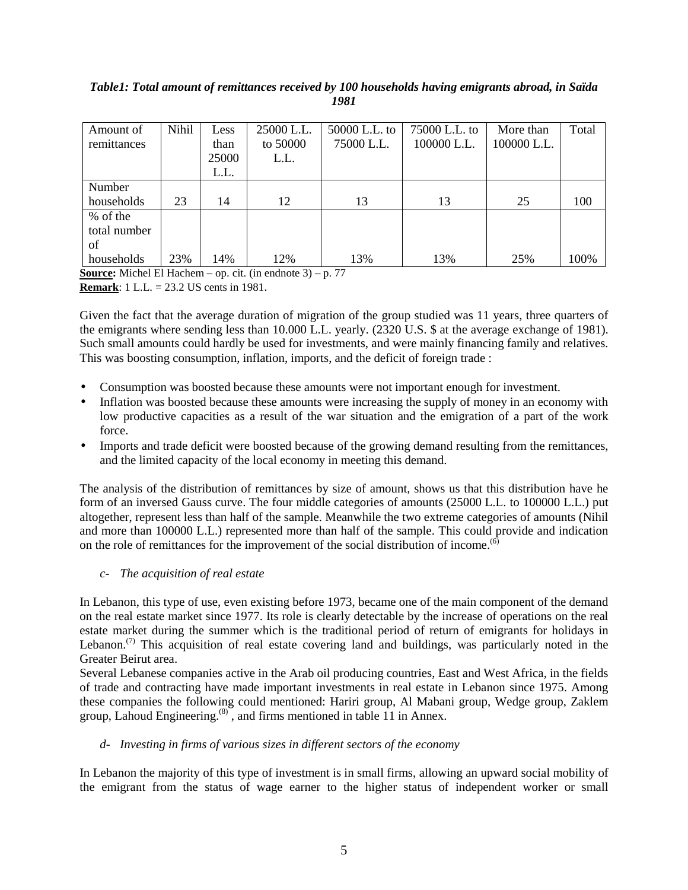#### *Table1: Total amount of remittances received by 100 households having emigrants abroad, in Saïda 1981*

| Amount of<br>remittances       | Nihil | Less<br>than<br>25000 | 25000 L.L.<br>to 50000<br>L.L. | 50000 L.L. to<br>75000 L.L. | 75000 L.L. to<br>100000 L.L. | More than<br>100000 L.L. | Total |
|--------------------------------|-------|-----------------------|--------------------------------|-----------------------------|------------------------------|--------------------------|-------|
|                                |       | L.L.                  |                                |                             |                              |                          |       |
| Number<br>households           | 23    | 14                    | 12                             | 13                          | 13                           | 25                       | 100   |
| % of the<br>total number<br>of |       |                       |                                |                             |                              |                          |       |
| households                     | 23%   | 14%                   | 12%                            | 13%                         | 13%                          | 25%                      | 100%  |

**Source:** Michel El Hachem – op. cit. (in endnote 3) – p. 77

**Remark**: 1 L.L. = 23.2 US cents in 1981.

Given the fact that the average duration of migration of the group studied was 11 years, three quarters of the emigrants where sending less than 10.000 L.L. yearly. (2320 U.S. \$ at the average exchange of 1981). Such small amounts could hardly be used for investments, and were mainly financing family and relatives. This was boosting consumption, inflation, imports, and the deficit of foreign trade :

- Consumption was boosted because these amounts were not important enough for investment.
- Inflation was boosted because these amounts were increasing the supply of money in an economy with low productive capacities as a result of the war situation and the emigration of a part of the work force.
- Imports and trade deficit were boosted because of the growing demand resulting from the remittances, and the limited capacity of the local economy in meeting this demand.

The analysis of the distribution of remittances by size of amount, shows us that this distribution have he form of an inversed Gauss curve. The four middle categories of amounts (25000 L.L. to 100000 L.L.) put altogether, represent less than half of the sample. Meanwhile the two extreme categories of amounts (Nihil and more than 100000 L.L.) represented more than half of the sample. This could provide and indication on the role of remittances for the improvement of the social distribution of income.<sup> $(6)$ </sup>

#### *c- The acquisition of real estate*

In Lebanon, this type of use, even existing before 1973, became one of the main component of the demand on the real estate market since 1977. Its role is clearly detectable by the increase of operations on the real estate market during the summer which is the traditional period of return of emigrants for holidays in Lebanon.<sup>(7)</sup> This acquisition of real estate covering land and buildings, was particularly noted in the Greater Beirut area.

Several Lebanese companies active in the Arab oil producing countries, East and West Africa, in the fields of trade and contracting have made important investments in real estate in Lebanon since 1975. Among these companies the following could mentioned: Hariri group, Al Mabani group, Wedge group, Zaklem group, Lahoud Engineering. $(8)$ , and firms mentioned in table 11 in Annex.

#### *d- Investing in firms of various sizes in different sectors of the economy*

In Lebanon the majority of this type of investment is in small firms, allowing an upward social mobility of the emigrant from the status of wage earner to the higher status of independent worker or small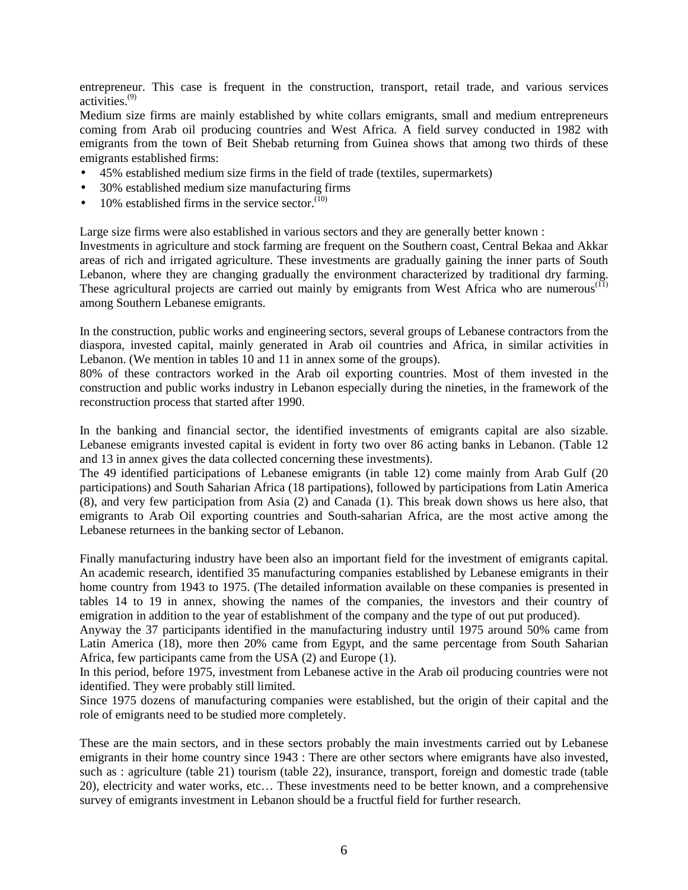entrepreneur. This case is frequent in the construction, transport, retail trade, and various services activities. $(9)$ 

Medium size firms are mainly established by white collars emigrants, small and medium entrepreneurs coming from Arab oil producing countries and West Africa. A field survey conducted in 1982 with emigrants from the town of Beit Shebab returning from Guinea shows that among two thirds of these emigrants established firms:

- 45% established medium size firms in the field of trade (textiles, supermarkets)
- 30% established medium size manufacturing firms
- 10% established firms in the service sector. $(10)$

Large size firms were also established in various sectors and they are generally better known :

Investments in agriculture and stock farming are frequent on the Southern coast, Central Bekaa and Akkar areas of rich and irrigated agriculture. These investments are gradually gaining the inner parts of South Lebanon, where they are changing gradually the environment characterized by traditional dry farming. These agricultural projects are carried out mainly by emigrants from West Africa who are numerous<sup>(11)</sup> among Southern Lebanese emigrants.

In the construction, public works and engineering sectors, several groups of Lebanese contractors from the diaspora, invested capital, mainly generated in Arab oil countries and Africa, in similar activities in Lebanon. (We mention in tables 10 and 11 in annex some of the groups).

80% of these contractors worked in the Arab oil exporting countries. Most of them invested in the construction and public works industry in Lebanon especially during the nineties, in the framework of the reconstruction process that started after 1990.

In the banking and financial sector, the identified investments of emigrants capital are also sizable. Lebanese emigrants invested capital is evident in forty two over 86 acting banks in Lebanon. (Table 12 and 13 in annex gives the data collected concerning these investments).

The 49 identified participations of Lebanese emigrants (in table 12) come mainly from Arab Gulf (20 participations) and South Saharian Africa (18 partipations), followed by participations from Latin America (8), and very few participation from Asia (2) and Canada (1). This break down shows us here also, that emigrants to Arab Oil exporting countries and South-saharian Africa, are the most active among the Lebanese returnees in the banking sector of Lebanon.

Finally manufacturing industry have been also an important field for the investment of emigrants capital. An academic research, identified 35 manufacturing companies established by Lebanese emigrants in their home country from 1943 to 1975. (The detailed information available on these companies is presented in tables 14 to 19 in annex, showing the names of the companies, the investors and their country of emigration in addition to the year of establishment of the company and the type of out put produced).

Anyway the 37 participants identified in the manufacturing industry until 1975 around 50% came from Latin America (18), more then 20% came from Egypt, and the same percentage from South Saharian Africa, few participants came from the USA (2) and Europe (1).

In this period, before 1975, investment from Lebanese active in the Arab oil producing countries were not identified. They were probably still limited.

Since 1975 dozens of manufacturing companies were established, but the origin of their capital and the role of emigrants need to be studied more completely.

These are the main sectors, and in these sectors probably the main investments carried out by Lebanese emigrants in their home country since 1943 : There are other sectors where emigrants have also invested, such as : agriculture (table 21) tourism (table 22), insurance, transport, foreign and domestic trade (table 20), electricity and water works, etc… These investments need to be better known, and a comprehensive survey of emigrants investment in Lebanon should be a fructful field for further research.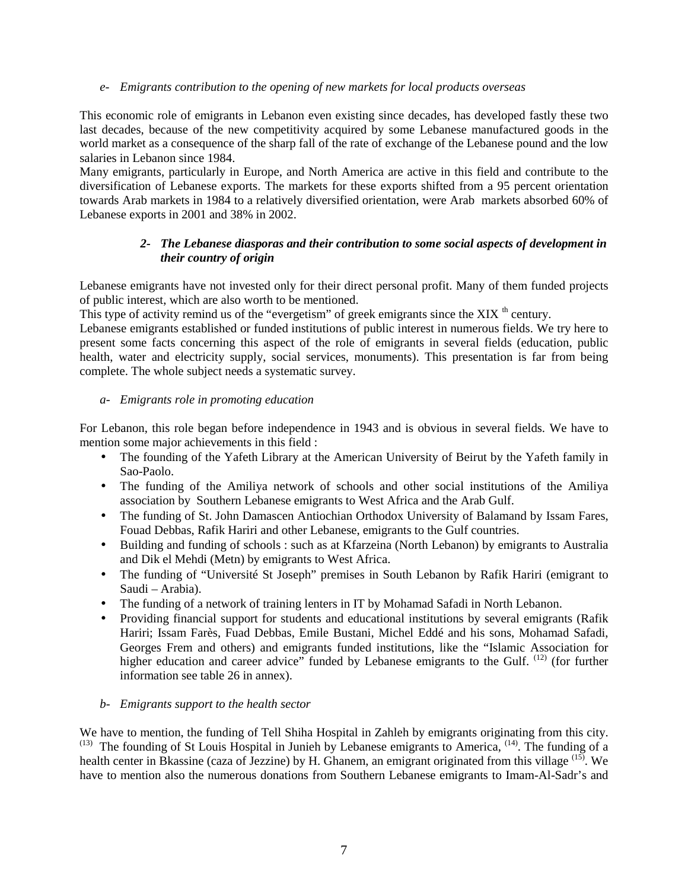#### *e- Emigrants contribution to the opening of new markets for local products overseas*

This economic role of emigrants in Lebanon even existing since decades, has developed fastly these two last decades, because of the new competitivity acquired by some Lebanese manufactured goods in the world market as a consequence of the sharp fall of the rate of exchange of the Lebanese pound and the low salaries in Lebanon since 1984.

Many emigrants, particularly in Europe, and North America are active in this field and contribute to the diversification of Lebanese exports. The markets for these exports shifted from a 95 percent orientation towards Arab markets in 1984 to a relatively diversified orientation, were Arab markets absorbed 60% of Lebanese exports in 2001 and 38% in 2002.

#### *2- The Lebanese diasporas and their contribution to some social aspects of development in their country of origin*

Lebanese emigrants have not invested only for their direct personal profit. Many of them funded projects of public interest, which are also worth to be mentioned.

This type of activity remind us of the "evergetism" of greek emigrants since the XIX<sup>th</sup> century.

Lebanese emigrants established or funded institutions of public interest in numerous fields. We try here to present some facts concerning this aspect of the role of emigrants in several fields (education, public health, water and electricity supply, social services, monuments). This presentation is far from being complete. The whole subject needs a systematic survey.

#### *a- Emigrants role in promoting education*

For Lebanon, this role began before independence in 1943 and is obvious in several fields. We have to mention some major achievements in this field :

- The founding of the Yafeth Library at the American University of Beirut by the Yafeth family in Sao-Paolo.
- The funding of the Amiliya network of schools and other social institutions of the Amiliya association by Southern Lebanese emigrants to West Africa and the Arab Gulf.
- The funding of St. John Damascen Antiochian Orthodox University of Balamand by Issam Fares, Fouad Debbas, Rafik Hariri and other Lebanese, emigrants to the Gulf countries.
- Building and funding of schools : such as at Kfarzeina (North Lebanon) by emigrants to Australia and Dik el Mehdi (Metn) by emigrants to West Africa.
- The funding of "Université St Joseph" premises in South Lebanon by Rafik Hariri (emigrant to Saudi – Arabia).
- The funding of a network of training lenters in IT by Mohamad Safadi in North Lebanon.
- Providing financial support for students and educational institutions by several emigrants (Rafik Hariri; Issam Farès, Fuad Debbas, Emile Bustani, Michel Eddé and his sons, Mohamad Safadi, Georges Frem and others) and emigrants funded institutions, like the "Islamic Association for higher education and career advice" funded by Lebanese emigrants to the Gulf. <sup>(12)</sup> (for further information see table 26 in annex).

#### *b- Emigrants support to the health sector*

We have to mention, the funding of Tell Shiha Hospital in Zahleh by emigrants originating from this city.  $(13)$  The founding of St Louis Hospital in Junieh by Lebanese emigrants to America,  $(14)$ . The funding of a health center in Bkassine (caza of Jezzine) by H. Ghanem, an emigrant originated from this village <sup>(15)</sup>. We have to mention also the numerous donations from Southern Lebanese emigrants to Imam-Al-Sadr's and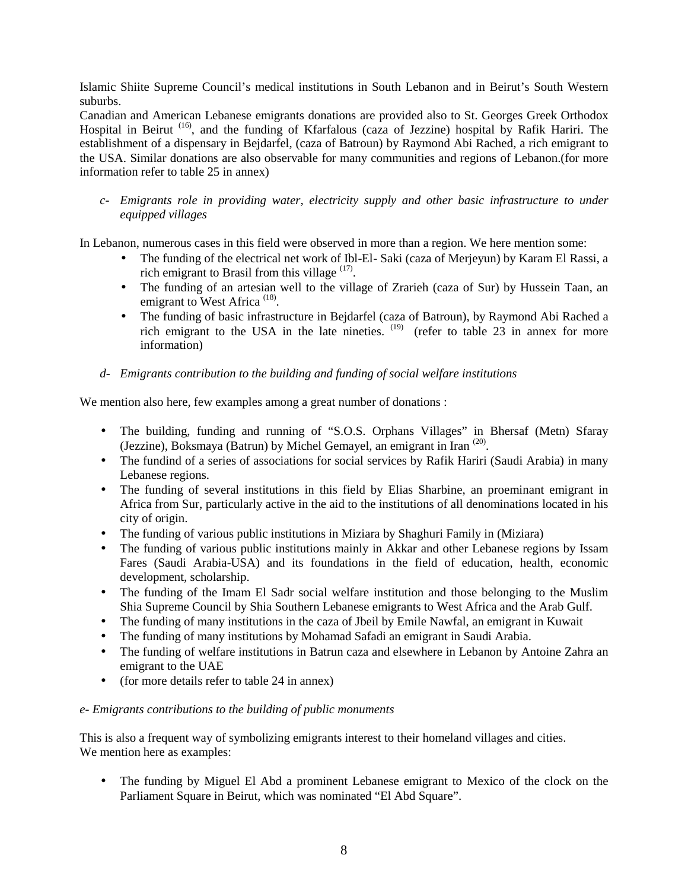Islamic Shiite Supreme Council's medical institutions in South Lebanon and in Beirut's South Western suburbs.

Canadian and American Lebanese emigrants donations are provided also to St. Georges Greek Orthodox Hospital in Beirut<sup>(16)</sup>, and the funding of Kfarfalous (caza of Jezzine) hospital by Rafik Hariri. The establishment of a dispensary in Bejdarfel, (caza of Batroun) by Raymond Abi Rached, a rich emigrant to the USA. Similar donations are also observable for many communities and regions of Lebanon.(for more information refer to table 25 in annex)

*c- Emigrants role in providing water, electricity supply and other basic infrastructure to under equipped villages* 

In Lebanon, numerous cases in this field were observed in more than a region. We here mention some:

- The funding of the electrical net work of Ibl-El- Saki (caza of Merjeyun) by Karam El Rassi, a rich emigrant to Brasil from this village (17).
- The funding of an artesian well to the village of Zrarieh (caza of Sur) by Hussein Taan, an emigrant to West Africa<sup>(18)</sup>.
- The funding of basic infrastructure in Bejdarfel (caza of Batroun), by Raymond Abi Rached a rich emigrant to the USA in the late nineties.  $(19)$  (refer to table 23 in annex for more information)

#### *d- Emigrants contribution to the building and funding of social welfare institutions*

We mention also here, few examples among a great number of donations :

- The building, funding and running of "S.O.S. Orphans Villages" in Bhersaf (Metn) Sfaray (Jezzine), Boksmaya (Batrun) by Michel Gemayel, an emigrant in Iran (20).
- The fundind of a series of associations for social services by Rafik Hariri (Saudi Arabia) in many Lebanese regions.
- The funding of several institutions in this field by Elias Sharbine, an proeminant emigrant in Africa from Sur, particularly active in the aid to the institutions of all denominations located in his city of origin.
- The funding of various public institutions in Miziara by Shaghuri Family in (Miziara)
- The funding of various public institutions mainly in Akkar and other Lebanese regions by Issam Fares (Saudi Arabia-USA) and its foundations in the field of education, health, economic development, scholarship.
- The funding of the Imam El Sadr social welfare institution and those belonging to the Muslim Shia Supreme Council by Shia Southern Lebanese emigrants to West Africa and the Arab Gulf.
- The funding of many institutions in the caza of Jbeil by Emile Nawfal, an emigrant in Kuwait
- The funding of many institutions by Mohamad Safadi an emigrant in Saudi Arabia.
- The funding of welfare institutions in Batrun caza and elsewhere in Lebanon by Antoine Zahra an emigrant to the UAE
- (for more details refer to table 24 in annex)

#### *e- Emigrants contributions to the building of public monuments*

This is also a frequent way of symbolizing emigrants interest to their homeland villages and cities. We mention here as examples:

• The funding by Miguel El Abd a prominent Lebanese emigrant to Mexico of the clock on the Parliament Square in Beirut, which was nominated "El Abd Square".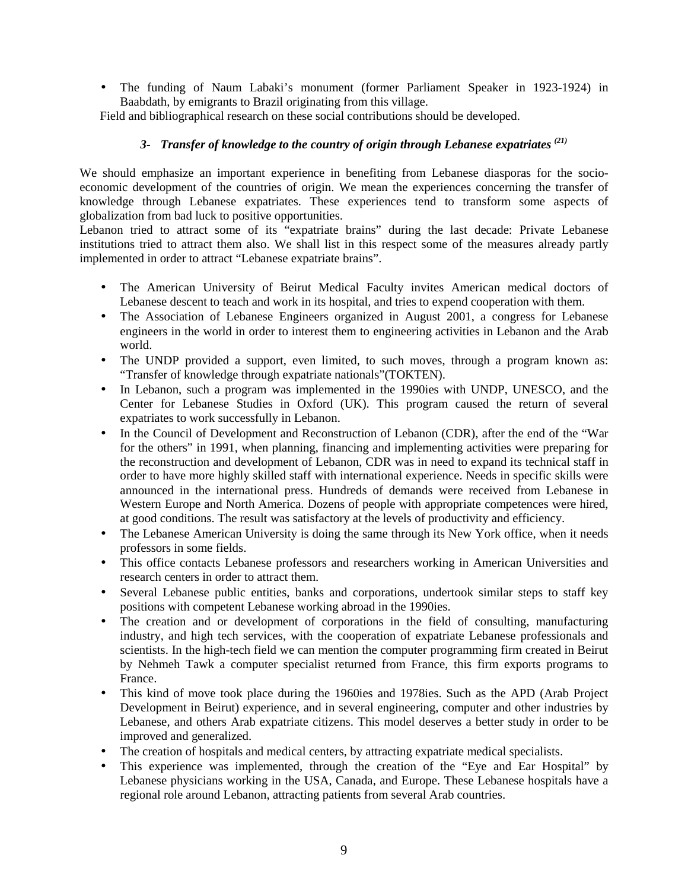• The funding of Naum Labaki's monument (former Parliament Speaker in 1923-1924) in Baabdath, by emigrants to Brazil originating from this village.

Field and bibliographical research on these social contributions should be developed.

#### *3- Transfer of knowledge to the country of origin through Lebanese expatriates (21)*

We should emphasize an important experience in benefiting from Lebanese diasporas for the socioeconomic development of the countries of origin. We mean the experiences concerning the transfer of knowledge through Lebanese expatriates. These experiences tend to transform some aspects of globalization from bad luck to positive opportunities.

Lebanon tried to attract some of its "expatriate brains" during the last decade: Private Lebanese institutions tried to attract them also. We shall list in this respect some of the measures already partly implemented in order to attract "Lebanese expatriate brains".

- The American University of Beirut Medical Faculty invites American medical doctors of Lebanese descent to teach and work in its hospital, and tries to expend cooperation with them.
- The Association of Lebanese Engineers organized in August 2001, a congress for Lebanese engineers in the world in order to interest them to engineering activities in Lebanon and the Arab world.
- The UNDP provided a support, even limited, to such moves, through a program known as: "Transfer of knowledge through expatriate nationals"(TOKTEN).
- In Lebanon, such a program was implemented in the 1990ies with UNDP, UNESCO, and the Center for Lebanese Studies in Oxford (UK). This program caused the return of several expatriates to work successfully in Lebanon.
- In the Council of Development and Reconstruction of Lebanon (CDR), after the end of the "War for the others" in 1991, when planning, financing and implementing activities were preparing for the reconstruction and development of Lebanon, CDR was in need to expand its technical staff in order to have more highly skilled staff with international experience. Needs in specific skills were announced in the international press. Hundreds of demands were received from Lebanese in Western Europe and North America. Dozens of people with appropriate competences were hired, at good conditions. The result was satisfactory at the levels of productivity and efficiency.
- The Lebanese American University is doing the same through its New York office, when it needs professors in some fields.
- This office contacts Lebanese professors and researchers working in American Universities and research centers in order to attract them.
- Several Lebanese public entities, banks and corporations, undertook similar steps to staff key positions with competent Lebanese working abroad in the 1990ies.
- The creation and or development of corporations in the field of consulting, manufacturing industry, and high tech services, with the cooperation of expatriate Lebanese professionals and scientists. In the high-tech field we can mention the computer programming firm created in Beirut by Nehmeh Tawk a computer specialist returned from France, this firm exports programs to France.
- This kind of move took place during the 1960ies and 1978ies. Such as the APD (Arab Project Development in Beirut) experience, and in several engineering, computer and other industries by Lebanese, and others Arab expatriate citizens. This model deserves a better study in order to be improved and generalized.
- The creation of hospitals and medical centers, by attracting expatriate medical specialists.
- This experience was implemented, through the creation of the "Eye and Ear Hospital" by Lebanese physicians working in the USA, Canada, and Europe. These Lebanese hospitals have a regional role around Lebanon, attracting patients from several Arab countries.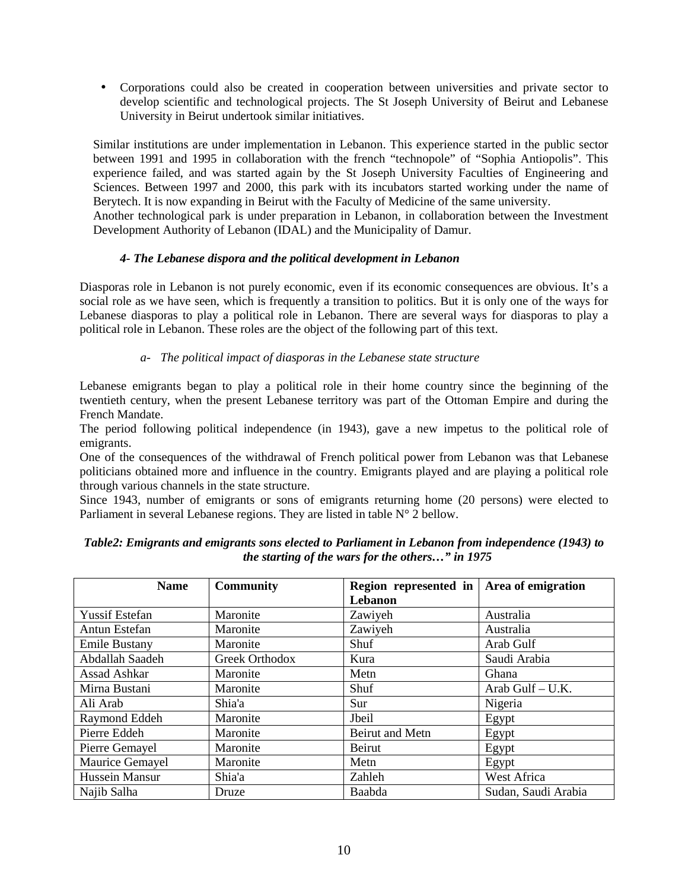• Corporations could also be created in cooperation between universities and private sector to develop scientific and technological projects. The St Joseph University of Beirut and Lebanese University in Beirut undertook similar initiatives.

Similar institutions are under implementation in Lebanon. This experience started in the public sector between 1991 and 1995 in collaboration with the french "technopole" of "Sophia Antiopolis". This experience failed, and was started again by the St Joseph University Faculties of Engineering and Sciences. Between 1997 and 2000, this park with its incubators started working under the name of Berytech. It is now expanding in Beirut with the Faculty of Medicine of the same university.

Another technological park is under preparation in Lebanon, in collaboration between the Investment Development Authority of Lebanon (IDAL) and the Municipality of Damur.

#### *4- The Lebanese dispora and the political development in Lebanon*

Diasporas role in Lebanon is not purely economic, even if its economic consequences are obvious. It's a social role as we have seen, which is frequently a transition to politics. But it is only one of the ways for Lebanese diasporas to play a political role in Lebanon. There are several ways for diasporas to play a political role in Lebanon. These roles are the object of the following part of this text.

#### *a- The political impact of diasporas in the Lebanese state structure*

Lebanese emigrants began to play a political role in their home country since the beginning of the twentieth century, when the present Lebanese territory was part of the Ottoman Empire and during the French Mandate.

The period following political independence (in 1943), gave a new impetus to the political role of emigrants.

One of the consequences of the withdrawal of French political power from Lebanon was that Lebanese politicians obtained more and influence in the country. Emigrants played and are playing a political role through various channels in the state structure.

Since 1943, number of emigrants or sons of emigrants returning home (20 persons) were elected to Parliament in several Lebanese regions. They are listed in table  $N^{\circ}$  2 bellow.

| <b>Name</b>           | <b>Community</b><br>Region represented in |                 | Area of emigration  |
|-----------------------|-------------------------------------------|-----------------|---------------------|
|                       |                                           | Lebanon         |                     |
| <b>Yussif Estefan</b> | Maronite                                  | Zawiyeh         | Australia           |
| Antun Estefan         | Maronite                                  | Zawiyeh         | Australia           |
| <b>Emile Bustany</b>  | Maronite                                  | Shuf            | Arab Gulf           |
| Abdallah Saadeh       | Greek Orthodox                            | Kura            | Saudi Arabia        |
| Assad Ashkar          | Maronite                                  | Metn            | Ghana               |
| Mirna Bustani         | Maronite                                  | Shuf            | Arab Gulf - U.K.    |
| Ali Arab              | Shia'a                                    | Sur             | Nigeria             |
| Raymond Eddeh         | Maronite                                  | Jbeil           | Egypt               |
| Pierre Eddeh          | Maronite                                  | Beirut and Metn | Egypt               |
| Pierre Gemayel        | Maronite                                  | Beirut          | Egypt               |
| Maurice Gemayel       | Maronite                                  | Metn            | Egypt               |
| Hussein Mansur        | Shia'a                                    | Zahleh          | West Africa         |
| Najib Salha           | Druze                                     | Baabda          | Sudan, Saudi Arabia |

*Table2: Emigrants and emigrants sons elected to Parliament in Lebanon from independence (1943) to the starting of the wars for the others…" in 1975*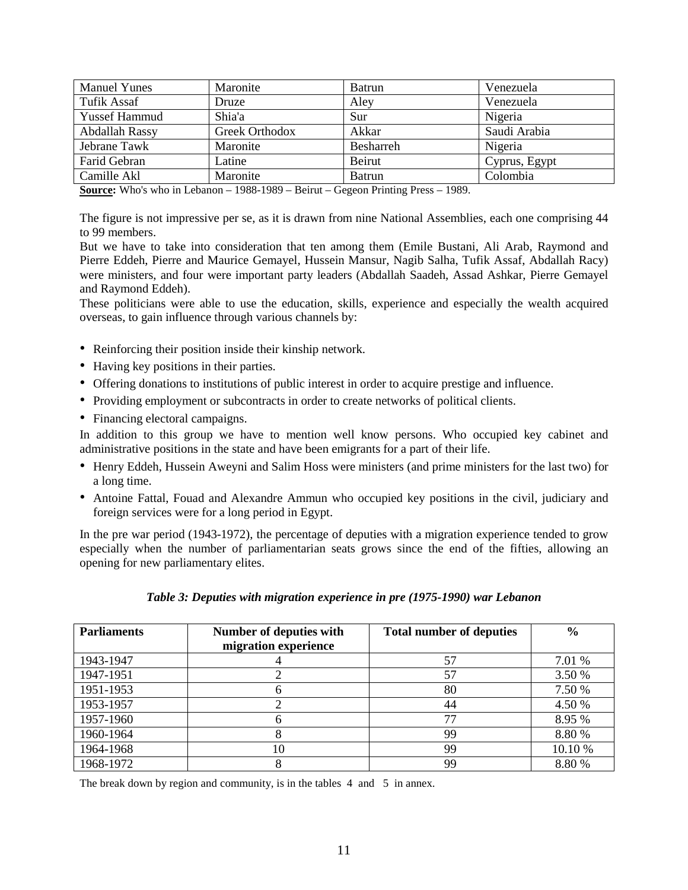| <b>Manuel Yunes</b>  | Maronite       | Batrun           | Venezuela     |
|----------------------|----------------|------------------|---------------|
| <b>Tufik Assaf</b>   | Druze          | Aley             | Venezuela     |
| <b>Yussef Hammud</b> | Shia'a         | Sur              | Nigeria       |
| Abdallah Rassy       | Greek Orthodox | Akkar            | Saudi Arabia  |
| Jebrane Tawk         | Maronite       | <b>Besharreh</b> | Nigeria       |
| Farid Gebran         | Latine         | Beirut           | Cyprus, Egypt |
| Camille Akl          | Maronite       | <b>Batrun</b>    | Colombia      |

**Source:** Who's who in Lebanon – 1988-1989 – Beirut – Gegeon Printing Press – 1989.

The figure is not impressive per se, as it is drawn from nine National Assemblies, each one comprising 44 to 99 members.

But we have to take into consideration that ten among them (Emile Bustani, Ali Arab, Raymond and Pierre Eddeh, Pierre and Maurice Gemayel, Hussein Mansur, Nagib Salha, Tufik Assaf, Abdallah Racy) were ministers, and four were important party leaders (Abdallah Saadeh, Assad Ashkar, Pierre Gemayel and Raymond Eddeh).

These politicians were able to use the education, skills, experience and especially the wealth acquired overseas, to gain influence through various channels by:

- Reinforcing their position inside their kinship network.
- Having key positions in their parties.
- Offering donations to institutions of public interest in order to acquire prestige and influence.
- Providing employment or subcontracts in order to create networks of political clients.
- Financing electoral campaigns.

In addition to this group we have to mention well know persons. Who occupied key cabinet and administrative positions in the state and have been emigrants for a part of their life.

- Henry Eddeh, Hussein Aweyni and Salim Hoss were ministers (and prime ministers for the last two) for a long time.
- Antoine Fattal, Fouad and Alexandre Ammun who occupied key positions in the civil, judiciary and foreign services were for a long period in Egypt.

In the pre war period (1943-1972), the percentage of deputies with a migration experience tended to grow especially when the number of parliamentarian seats grows since the end of the fifties, allowing an opening for new parliamentary elites.

|  |  | Table 3: Deputies with migration experience in pre (1975-1990) war Lebanon |
|--|--|----------------------------------------------------------------------------|
|  |  |                                                                            |

| <b>Parliaments</b> | Number of deputies with<br>migration experience | <b>Total number of deputies</b> | $\frac{6}{6}$ |
|--------------------|-------------------------------------------------|---------------------------------|---------------|
| 1943-1947          |                                                 | 57                              | 7.01 %        |
| 1947-1951          |                                                 | 57                              | 3.50 %        |
| 1951-1953          |                                                 | 80                              | 7.50 %        |
| 1953-1957          |                                                 | 44                              | 4.50 %        |
| 1957-1960          |                                                 | 77                              | 8.95 %        |
| 1960-1964          |                                                 | 99                              | 8.80 %        |
| 1964-1968          | 10                                              | 99                              | 10.10 %       |
| 1968-1972          |                                                 | 99                              | 8.80 %        |

The break down by region and community, is in the tables 4 and 5 in annex.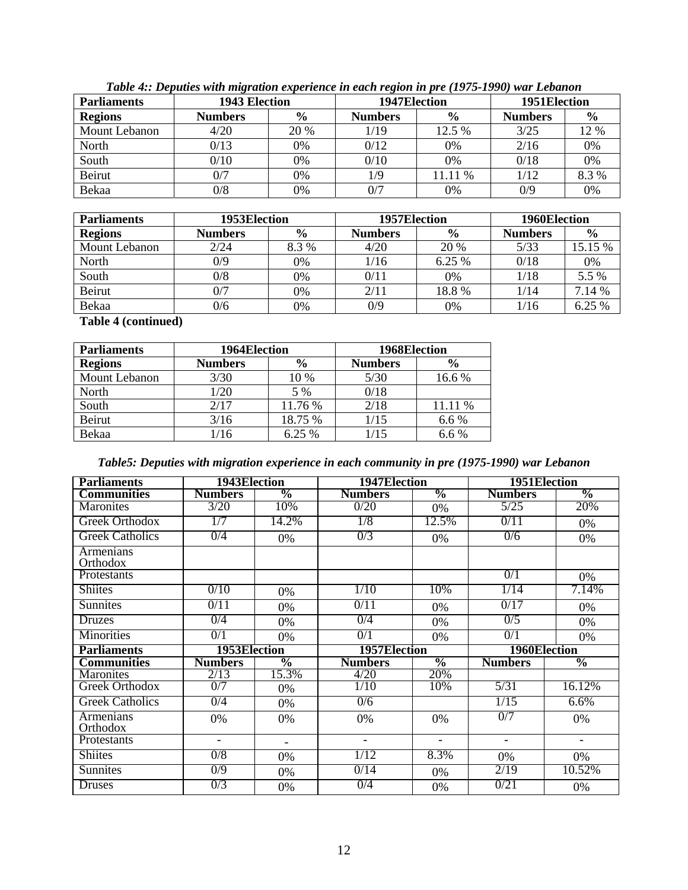| <b>Parliaments</b>   |                | 1951 Election<br>1943 Election<br>1947Election |                |               |                |               |
|----------------------|----------------|------------------------------------------------|----------------|---------------|----------------|---------------|
| <b>Regions</b>       | <b>Numbers</b> | $\frac{6}{9}$                                  | <b>Numbers</b> | $\frac{6}{9}$ | <b>Numbers</b> | $\frac{6}{9}$ |
| <b>Mount Lebanon</b> | 4/20           | 20 %                                           | 1/19           | 12.5 %        | 3/25           | 12 %          |
| North                | 0/13           | 0%                                             | 0/12           | 0%            | 2/16           | 0%            |
| South                | 0/10           | 0%                                             | 0/10           | 0%            | 0/18           | 0%            |
| Beirut               | 0/7            | 0%                                             | 1/9            | 11.11 %       | 1/12           | 8.3%          |
| Bekaa                | 0/8            | 0%                                             | 0/7            | 0%            | 0/9            | 0%            |

*Table 4:: Deputies with migration experience in each region in pre (1975-1990) war Lebanon* 

| <b>Parliaments</b> | 1953Election   |               | 1957Election   |               | 1960Election   |               |
|--------------------|----------------|---------------|----------------|---------------|----------------|---------------|
| <b>Regions</b>     | <b>Numbers</b> | $\frac{0}{0}$ | <b>Numbers</b> | $\frac{6}{9}$ | <b>Numbers</b> | $\frac{0}{0}$ |
| Mount Lebanon      | 2/24           | 8.3%          | 4/20           | 20 %          | 5/33           | 15.15 %       |
| North              | 0/9            | 0%            | 1/16           | 6.25 %        | 0/18           | 0%            |
| South              | 0/8            | 0%            | 0/11           | 0%            | 1/18           | 5.5 %         |
| Beirut             | 0/7            | 0%            | 2/11           | 18.8%         | 1/14           | 7.14 %        |
| Bekaa              | 0/6            | 0%            | 0/9            | 0%            | 1/16           | 6.25 %        |

**Table 4 (continued)** 

| <b>Parliaments</b> | 1964Election   |               | 1968Election |               |  |
|--------------------|----------------|---------------|--------------|---------------|--|
| <b>Regions</b>     | <b>Numbers</b> | $\frac{0}{0}$ |              | $\frac{6}{9}$ |  |
| Mount Lebanon      | 3/30           | 10 %          | 5/30         | 16.6%         |  |
| North              | 1/20           | 5 %           | 0/18         |               |  |
| South              | 2/17           | 11.76 %       | 2/18         | 11.11 %       |  |
| Beirut             | 3/16           | 18.75 %       | 1/15         | 6.6 %         |  |
| Bekaa              | /16            | 6.25 %        | 1/15         | 6.6 %         |  |

| Table5: Deputies with migration experience in each community in pre (1975-1990) war Lebanon |  |  |  |  |  |
|---------------------------------------------------------------------------------------------|--|--|--|--|--|
|                                                                                             |  |  |  |  |  |

| <b>Parliaments</b>           | 1943Election             |                          | 1947Election             |                | 1951Election   |                |  |
|------------------------------|--------------------------|--------------------------|--------------------------|----------------|----------------|----------------|--|
| <b>Communities</b>           | <b>Numbers</b>           | $\frac{6}{2}$            | <b>Numbers</b>           | $\frac{0}{0}$  | <b>Numbers</b> | $\frac{0}{6}$  |  |
| Maronites                    | 3/20                     | 10%                      | 0/20                     | 0%             | 5/25           | 20%            |  |
| Greek Orthodox               | 1/7                      | 14.2%                    | 1/8                      | 12.5%          | 0/11           | 0%             |  |
| <b>Greek Catholics</b>       | 0/4                      | 0%                       | 0/3                      | 0%             | 0/6            | 0%             |  |
| <b>Armenians</b><br>Orthodox |                          |                          |                          |                |                |                |  |
| Protestants                  |                          |                          |                          |                | 0/1            | 0%             |  |
| <b>Shiites</b>               | 0/10                     | 0%                       | 1/10                     | 10%            | 1/14           | 7.14%          |  |
| <b>Sunnites</b>              | 0/11                     | 0%                       | 0/11                     | 0%             | 0/17           | 0%             |  |
| <b>Druzes</b>                | 0/4                      | 0%                       | 0/4                      | 0%             | 0/5            | 0%             |  |
| <b>Minorities</b>            | 0/1                      | 0%                       | 0/1                      | 0%             | 0/1            | 0%             |  |
| <b>Parliaments</b>           | 1953Election             |                          | 1957Election             | 1960Election   |                |                |  |
| <b>Communities</b>           | <b>Numbers</b>           | $\frac{6}{6}$            | <b>Numbers</b>           | $\frac{0}{0}$  | <b>Numbers</b> | $\frac{6}{6}$  |  |
| <b>Maronites</b>             | 2/13                     | 15.3%                    | 4/20                     | 20%            |                |                |  |
| Greek Orthodox               | 0/7                      | 0%                       | 1/10                     | 10%            | 5/31           | 16.12%         |  |
| <b>Greek Catholics</b>       | 0/4                      | 0%                       | 0/6                      |                | 1/15           | 6.6%           |  |
| <b>Armenians</b><br>Orthodox | 0%                       | 0%                       | 0%                       | 0%             | 0/7            | 0%             |  |
| Protestants                  | $\overline{\phantom{0}}$ | $\overline{\phantom{a}}$ | $\overline{\phantom{0}}$ | $\blacksquare$ | $\blacksquare$ | $\blacksquare$ |  |
| <b>Shiites</b>               | 0/8                      | 0%                       | 1/12                     | 8.3%           | 0%             | 0%             |  |
| <b>Sunnites</b>              | 0/9                      | 0%                       | 0/14                     | 0%             | 2/19           | 10.52%         |  |
| <b>Druses</b>                | 0/3                      | 0%                       | 0/4                      | 0%             | 0/21           | 0%             |  |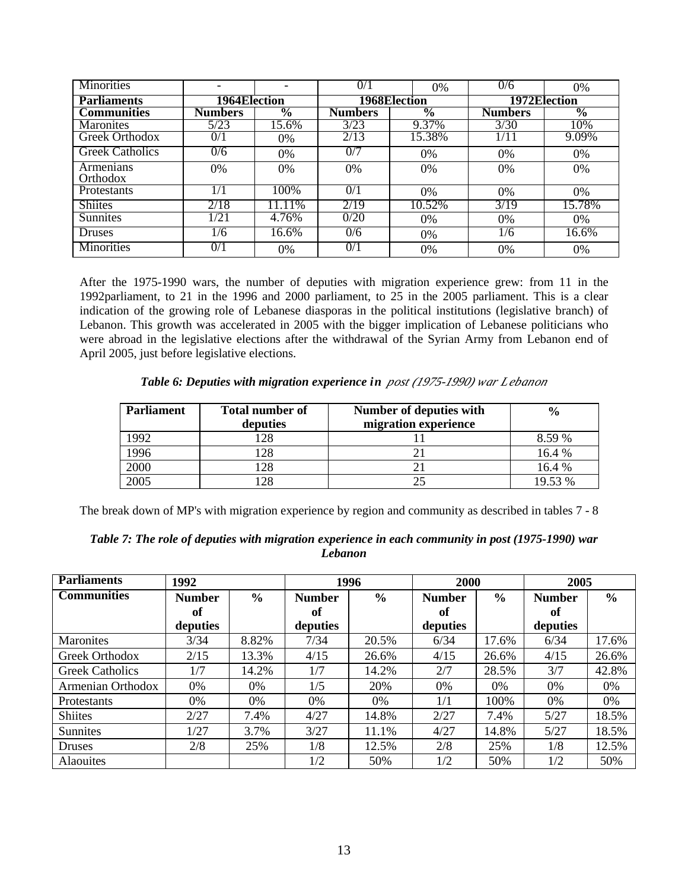| <b>Minorities</b>      |              |                 | $\overline{0/1}$    | 0%                       | 0/6            | 0%                       |
|------------------------|--------------|-----------------|---------------------|--------------------------|----------------|--------------------------|
| <b>Parliaments</b>     | 1964Election |                 | <b>1968Election</b> |                          |                | 1972Election             |
| <b>Communities</b>     | Numbers      | $\overline{\%}$ | <b>Numbers</b>      | $\overline{\mathcal{C}}$ | <b>Numbers</b> | $\overline{\frac{0}{0}}$ |
| <b>Maronites</b>       | 5/23         | 15.6%           | 3/23                | 9.37%                    | 3/30           | 10%                      |
| Greek Orthodox         | 0/1          | 0%              | 2/13                | 15.38%                   |                | 9.09%                    |
| <b>Greek Catholics</b> | 0/6          | 0%              | 0/7                 | $0\%$                    | $0\%$          | 0%                       |
| Armenians<br>Orthodox  | 0%           | 0%              | 0%                  | 0%                       | 0%             | 0%                       |
| <b>Protestants</b>     | 1/1          | 100%            | 0/1                 | $0\%$                    | $0\%$          | 0%                       |
| <b>Shiites</b>         | 2/18         | 11.11%          | 2/19                | 10.52%                   | 3/19           | 15.78%                   |
| <b>Sunnites</b>        | 1/21         | 4.76%           | 0/20                | $0\%$                    | $0\%$          | $0\%$                    |
| <b>Druses</b>          | 1/6          | 16.6%           | 0/6                 | 0%                       | 1/6            | 16.6%                    |
| <b>Minorities</b>      | 0/1          | 0%              | 0/1                 | 0%                       | 0%             | 0%                       |

After the 1975-1990 wars, the number of deputies with migration experience grew: from 11 in the 1992parliament, to 21 in the 1996 and 2000 parliament, to 25 in the 2005 parliament. This is a clear indication of the growing role of Lebanese diasporas in the political institutions (legislative branch) of Lebanon. This growth was accelerated in 2005 with the bigger implication of Lebanese politicians who were abroad in the legislative elections after the withdrawal of the Syrian Army from Lebanon end of April 2005, just before legislative elections.

*Table 6: Deputies with migration experience in post (1975-1990) war Lebanon*

| <b>Parliament</b> | <b>Total number of</b><br>deputies | Number of deputies with<br>migration experience | $\frac{0}{0}$ |
|-------------------|------------------------------------|-------------------------------------------------|---------------|
| 992               | 128                                |                                                 | 8.59 %        |
| !996              | 128                                |                                                 | 16.4 %        |
| 2000              | 128                                |                                                 | 16.4 %        |
| 2005              | 128                                |                                                 | 19.53 %       |

The break down of MP's with migration experience by region and community as described in tables 7 - 8

| Table 7: The role of deputies with migration experience in each community in post (1975-1990) war |
|---------------------------------------------------------------------------------------------------|
| <b>Lebanon</b>                                                                                    |

| <b>Parliaments</b>     | 1992          |               | 1996          |               | 2000          |               | 2005          |               |
|------------------------|---------------|---------------|---------------|---------------|---------------|---------------|---------------|---------------|
| <b>Communities</b>     | <b>Number</b> | $\frac{6}{6}$ | <b>Number</b> | $\frac{0}{0}$ | <b>Number</b> | $\frac{6}{6}$ | <b>Number</b> | $\frac{6}{6}$ |
|                        | of            |               | of            |               | of            |               | of            |               |
|                        | deputies      |               | deputies      |               | deputies      |               | deputies      |               |
| <b>Maronites</b>       | 3/34          | 8.82%         | 7/34          | 20.5%         | 6/34          | 17.6%         | 6/34          | 17.6%         |
| Greek Orthodox         | 2/15          | 13.3%         | 4/15          | 26.6%         | 4/15          | 26.6%         | 4/15          | 26.6%         |
| <b>Greek Catholics</b> | 1/7           | 14.2%         | 1/7           | 14.2%         | 2/7           | 28.5%         | 3/7           | 42.8%         |
| Armenian Orthodox      | $0\%$         | $0\%$         | 1/5           | 20%           | 0%            | 0%            | 0%            | 0%            |
| Protestants            | 0%            | 0%            | 0%            | 0%            | 1/1           | 100%          | 0%            | 0%            |
| <b>Shiites</b>         | 2/27          | 7.4%          | 4/27          | 14.8%         | 2/27          | 7.4%          | 5/27          | 18.5%         |
| Sunnites               | 1/27          | 3.7%          | 3/27          | 11.1%         | 4/27          | 14.8%         | 5/27          | 18.5%         |
| <b>Druses</b>          | 2/8           | 25%           | 1/8           | 12.5%         | 2/8           | 25%           | 1/8           | 12.5%         |
| <b>Alaouites</b>       |               |               | 1/2           | 50%           | 1/2           | 50%           | 1/2           | 50%           |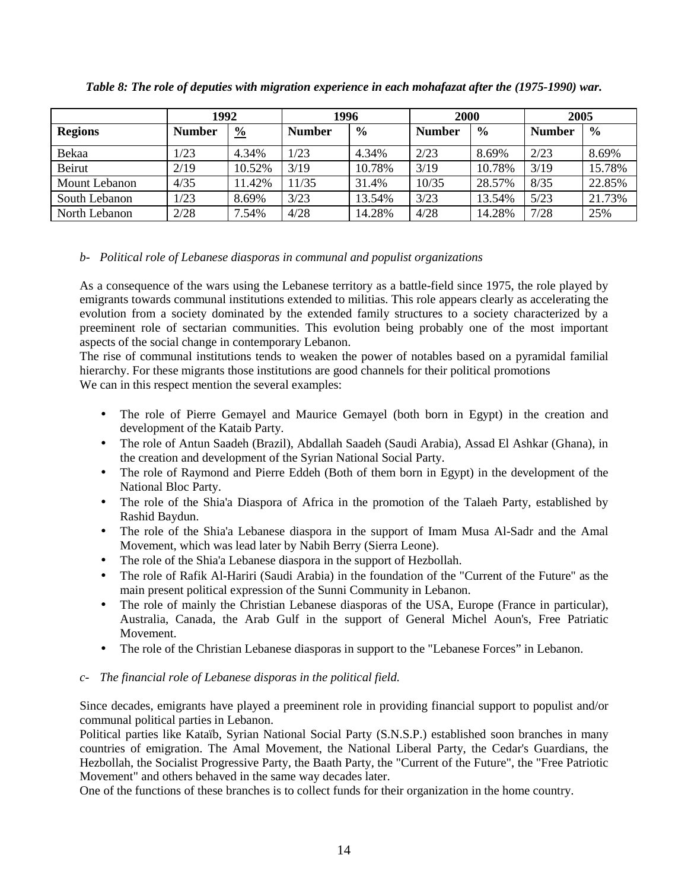|                | 1992          |               | 1996          |               | <b>2000</b>   |               | 2005          |               |
|----------------|---------------|---------------|---------------|---------------|---------------|---------------|---------------|---------------|
| <b>Regions</b> | <b>Number</b> | $\frac{0}{0}$ | <b>Number</b> | $\frac{6}{6}$ | <b>Number</b> | $\frac{6}{9}$ | <b>Number</b> | $\frac{6}{6}$ |
| Bekaa          | 1/23          | 4.34%         | 1/23          | 4.34%         | 2/23          | 8.69%         | 2/23          | 8.69%         |
| Beirut         | 2/19          | 10.52%        | 3/19          | 10.78%        | 3/19          | 10.78%        | 3/19          | 15.78%        |
| Mount Lebanon  | 4/35          | 11.42%        | 11/35         | 31.4%         | 10/35         | 28.57%        | 8/35          | 22.85%        |
| South Lebanon  | 1/23          | 8.69%         | 3/23          | 13.54%        | 3/23          | 13.54%        | 5/23          | 21.73%        |
| North Lebanon  | 2/28          | 7.54%         | 4/28          | 14.28%        | 4/28          | 14.28%        | 7/28          | 25%           |

*Table 8: The role of deputies with migration experience in each mohafazat after the (1975-1990) war.* 

#### *b- Political role of Lebanese diasporas in communal and populist organizations*

As a consequence of the wars using the Lebanese territory as a battle-field since 1975, the role played by emigrants towards communal institutions extended to militias. This role appears clearly as accelerating the evolution from a society dominated by the extended family structures to a society characterized by a preeminent role of sectarian communities. This evolution being probably one of the most important aspects of the social change in contemporary Lebanon.

The rise of communal institutions tends to weaken the power of notables based on a pyramidal familial hierarchy. For these migrants those institutions are good channels for their political promotions

We can in this respect mention the several examples:

- The role of Pierre Gemayel and Maurice Gemayel (both born in Egypt) in the creation and development of the Kataib Party.
- The role of Antun Saadeh (Brazil), Abdallah Saadeh (Saudi Arabia), Assad El Ashkar (Ghana), in the creation and development of the Syrian National Social Party.
- The role of Raymond and Pierre Eddeh (Both of them born in Egypt) in the development of the National Bloc Party.
- The role of the Shia'a Diaspora of Africa in the promotion of the Talaeh Party, established by Rashid Baydun.
- The role of the Shia'a Lebanese diaspora in the support of Imam Musa Al-Sadr and the Amal Movement, which was lead later by Nabih Berry (Sierra Leone).
- The role of the Shia'a Lebanese diaspora in the support of Hezbollah.
- The role of Rafik Al-Hariri (Saudi Arabia) in the foundation of the "Current of the Future" as the main present political expression of the Sunni Community in Lebanon.
- The role of mainly the Christian Lebanese diasporas of the USA, Europe (France in particular), Australia, Canada, the Arab Gulf in the support of General Michel Aoun's, Free Patriatic Movement.
- The role of the Christian Lebanese diasporas in support to the "Lebanese Forces" in Lebanon.

#### *c- The financial role of Lebanese disporas in the political field.*

Since decades, emigrants have played a preeminent role in providing financial support to populist and/or communal political parties in Lebanon.

Political parties like Kataïb, Syrian National Social Party (S.N.S.P.) established soon branches in many countries of emigration. The Amal Movement, the National Liberal Party, the Cedar's Guardians, the Hezbollah, the Socialist Progressive Party, the Baath Party, the "Current of the Future", the "Free Patriotic Movement" and others behaved in the same way decades later.

One of the functions of these branches is to collect funds for their organization in the home country.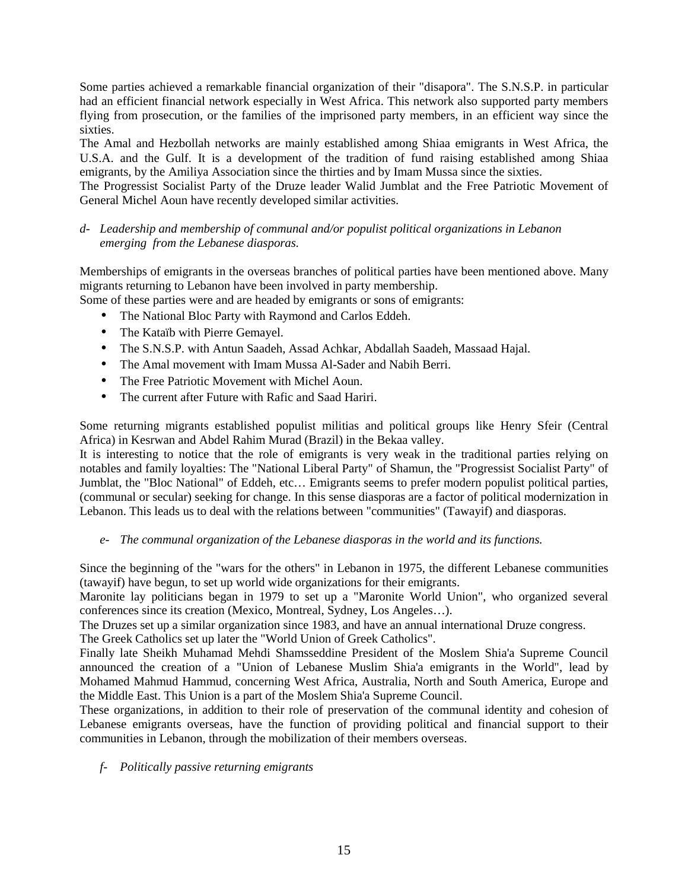Some parties achieved a remarkable financial organization of their "disapora". The S.N.S.P. in particular had an efficient financial network especially in West Africa. This network also supported party members flying from prosecution, or the families of the imprisoned party members, in an efficient way since the sixties.

The Amal and Hezbollah networks are mainly established among Shiaa emigrants in West Africa, the U.S.A. and the Gulf. It is a development of the tradition of fund raising established among Shiaa emigrants, by the Amiliya Association since the thirties and by Imam Mussa since the sixties.

The Progressist Socialist Party of the Druze leader Walid Jumblat and the Free Patriotic Movement of General Michel Aoun have recently developed similar activities.

#### *d- Leadership and membership of communal and/or populist political organizations in Lebanon emerging from the Lebanese diasporas.*

Memberships of emigrants in the overseas branches of political parties have been mentioned above. Many migrants returning to Lebanon have been involved in party membership.

Some of these parties were and are headed by emigrants or sons of emigrants:

- The National Bloc Party with Raymond and Carlos Eddeh.
- The Kataïb with Pierre Gemayel.
- The S.N.S.P. with Antun Saadeh, Assad Achkar, Abdallah Saadeh, Massaad Hajal.
- The Amal movement with Imam Mussa Al-Sader and Nabih Berri.
- The Free Patriotic Movement with Michel Aoun.
- The current after Future with Rafic and Saad Hariri.

Some returning migrants established populist militias and political groups like Henry Sfeir (Central Africa) in Kesrwan and Abdel Rahim Murad (Brazil) in the Bekaa valley.

It is interesting to notice that the role of emigrants is very weak in the traditional parties relying on notables and family loyalties: The "National Liberal Party" of Shamun, the "Progressist Socialist Party" of Jumblat, the "Bloc National" of Eddeh, etc… Emigrants seems to prefer modern populist political parties, (communal or secular) seeking for change. In this sense diasporas are a factor of political modernization in Lebanon. This leads us to deal with the relations between "communities" (Tawayif) and diasporas.

*e- The communal organization of the Lebanese diasporas in the world and its functions.* 

Since the beginning of the "wars for the others" in Lebanon in 1975, the different Lebanese communities (tawayif) have begun, to set up world wide organizations for their emigrants.

Maronite lay politicians began in 1979 to set up a "Maronite World Union", who organized several conferences since its creation (Mexico, Montreal, Sydney, Los Angeles…).

The Druzes set up a similar organization since 1983, and have an annual international Druze congress.

The Greek Catholics set up later the "World Union of Greek Catholics".

Finally late Sheikh Muhamad Mehdi Shamsseddine President of the Moslem Shia'a Supreme Council announced the creation of a "Union of Lebanese Muslim Shia'a emigrants in the World", lead by Mohamed Mahmud Hammud, concerning West Africa, Australia, North and South America, Europe and the Middle East. This Union is a part of the Moslem Shia'a Supreme Council.

These organizations, in addition to their role of preservation of the communal identity and cohesion of Lebanese emigrants overseas, have the function of providing political and financial support to their communities in Lebanon, through the mobilization of their members overseas.

*f- Politically passive returning emigrants*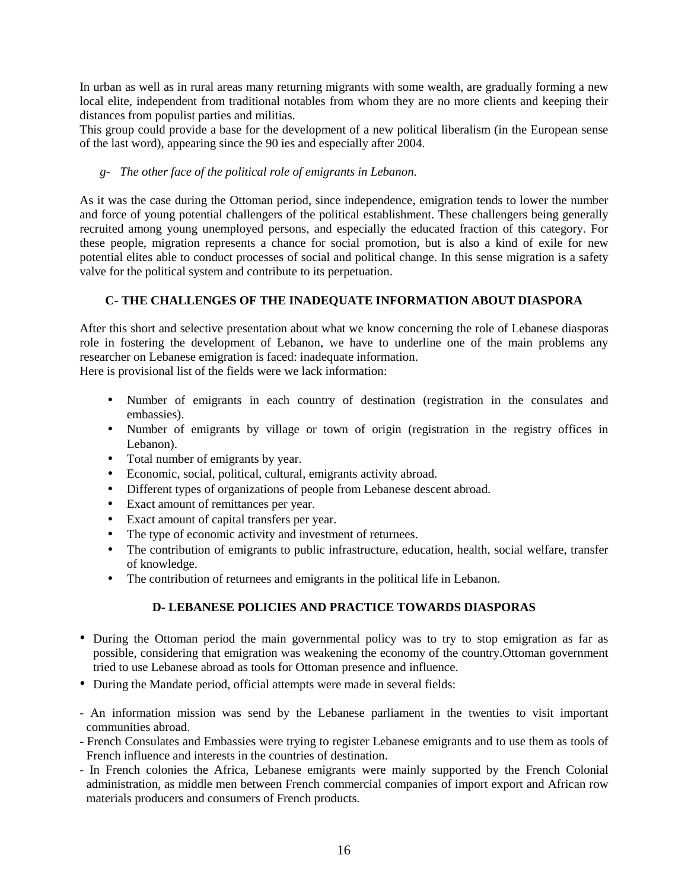In urban as well as in rural areas many returning migrants with some wealth, are gradually forming a new local elite, independent from traditional notables from whom they are no more clients and keeping their distances from populist parties and militias.

This group could provide a base for the development of a new political liberalism (in the European sense of the last word), appearing since the 90 ies and especially after 2004.

#### *g- The other face of the political role of emigrants in Lebanon.*

As it was the case during the Ottoman period, since independence, emigration tends to lower the number and force of young potential challengers of the political establishment. These challengers being generally recruited among young unemployed persons, and especially the educated fraction of this category. For these people, migration represents a chance for social promotion, but is also a kind of exile for new potential elites able to conduct processes of social and political change. In this sense migration is a safety valve for the political system and contribute to its perpetuation.

#### **C- THE CHALLENGES OF THE INADEQUATE INFORMATION ABOUT DIASPORA**

After this short and selective presentation about what we know concerning the role of Lebanese diasporas role in fostering the development of Lebanon, we have to underline one of the main problems any researcher on Lebanese emigration is faced: inadequate information.

Here is provisional list of the fields were we lack information:

- Number of emigrants in each country of destination (registration in the consulates and embassies).
- Number of emigrants by village or town of origin (registration in the registry offices in Lebanon).
- Total number of emigrants by year.
- Economic, social, political, cultural, emigrants activity abroad.
- Different types of organizations of people from Lebanese descent abroad.
- Exact amount of remittances per year.
- Exact amount of capital transfers per year.
- The type of economic activity and investment of returnees.
- The contribution of emigrants to public infrastructure, education, health, social welfare, transfer of knowledge.
- The contribution of returnees and emigrants in the political life in Lebanon.

#### **D- LEBANESE POLICIES AND PRACTICE TOWARDS DIASPORAS**

- During the Ottoman period the main governmental policy was to try to stop emigration as far as possible, considering that emigration was weakening the economy of the country.Ottoman government tried to use Lebanese abroad as tools for Ottoman presence and influence.
- During the Mandate period, official attempts were made in several fields:
- An information mission was send by the Lebanese parliament in the twenties to visit important communities abroad.
- French Consulates and Embassies were trying to register Lebanese emigrants and to use them as tools of French influence and interests in the countries of destination.
- In French colonies the Africa, Lebanese emigrants were mainly supported by the French Colonial administration, as middle men between French commercial companies of import export and African row materials producers and consumers of French products.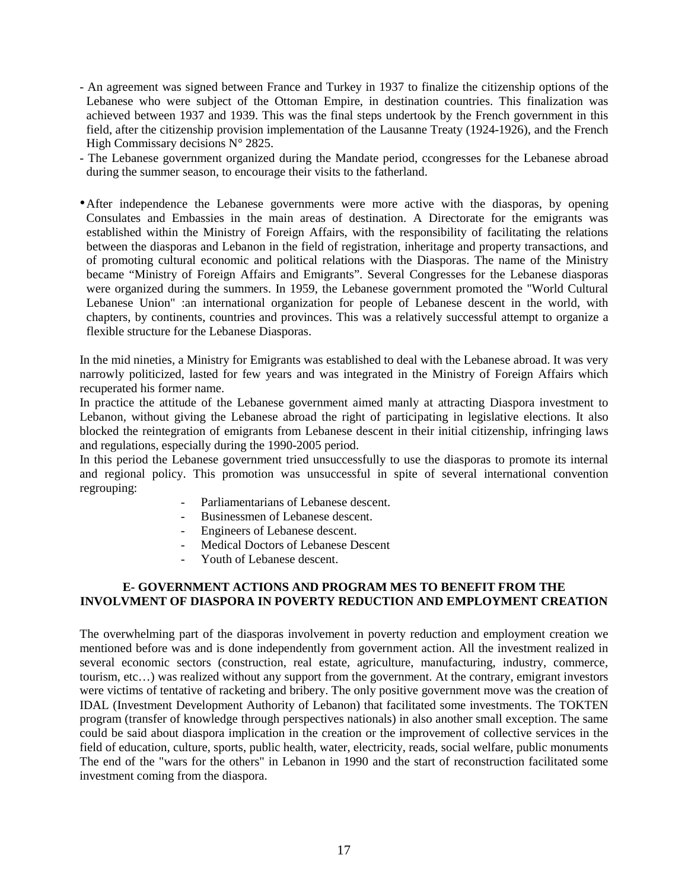- An agreement was signed between France and Turkey in 1937 to finalize the citizenship options of the Lebanese who were subject of the Ottoman Empire, in destination countries. This finalization was achieved between 1937 and 1939. This was the final steps undertook by the French government in this field, after the citizenship provision implementation of the Lausanne Treaty (1924-1926), and the French High Commissary decisions  $N^{\circ}$  2825.
- The Lebanese government organized during the Mandate period, ccongresses for the Lebanese abroad during the summer season, to encourage their visits to the fatherland.
- •After independence the Lebanese governments were more active with the diasporas, by opening Consulates and Embassies in the main areas of destination. A Directorate for the emigrants was established within the Ministry of Foreign Affairs, with the responsibility of facilitating the relations between the diasporas and Lebanon in the field of registration, inheritage and property transactions, and of promoting cultural economic and political relations with the Diasporas. The name of the Ministry became "Ministry of Foreign Affairs and Emigrants". Several Congresses for the Lebanese diasporas were organized during the summers. In 1959, the Lebanese government promoted the "World Cultural Lebanese Union" :an international organization for people of Lebanese descent in the world, with chapters, by continents, countries and provinces. This was a relatively successful attempt to organize a flexible structure for the Lebanese Diasporas.

In the mid nineties, a Ministry for Emigrants was established to deal with the Lebanese abroad. It was very narrowly politicized, lasted for few years and was integrated in the Ministry of Foreign Affairs which recuperated his former name.

In practice the attitude of the Lebanese government aimed manly at attracting Diaspora investment to Lebanon, without giving the Lebanese abroad the right of participating in legislative elections. It also blocked the reintegration of emigrants from Lebanese descent in their initial citizenship, infringing laws and regulations, especially during the 1990-2005 period.

In this period the Lebanese government tried unsuccessfully to use the diasporas to promote its internal and regional policy. This promotion was unsuccessful in spite of several international convention regrouping:

- Parliamentarians of Lebanese descent.
- Businessmen of Lebanese descent.
- Engineers of Lebanese descent.
- Medical Doctors of Lebanese Descent
- Youth of Lebanese descent.

#### **E- GOVERNMENT ACTIONS AND PROGRAM MES TO BENEFIT FROM THE INVOLVMENT OF DIASPORA IN POVERTY REDUCTION AND EMPLOYMENT CREATION**

The overwhelming part of the diasporas involvement in poverty reduction and employment creation we mentioned before was and is done independently from government action. All the investment realized in several economic sectors (construction, real estate, agriculture, manufacturing, industry, commerce, tourism, etc…) was realized without any support from the government. At the contrary, emigrant investors were victims of tentative of racketing and bribery. The only positive government move was the creation of IDAL (Investment Development Authority of Lebanon) that facilitated some investments. The TOKTEN program (transfer of knowledge through perspectives nationals) in also another small exception. The same could be said about diaspora implication in the creation or the improvement of collective services in the field of education, culture, sports, public health, water, electricity, reads, social welfare, public monuments The end of the "wars for the others" in Lebanon in 1990 and the start of reconstruction facilitated some investment coming from the diaspora.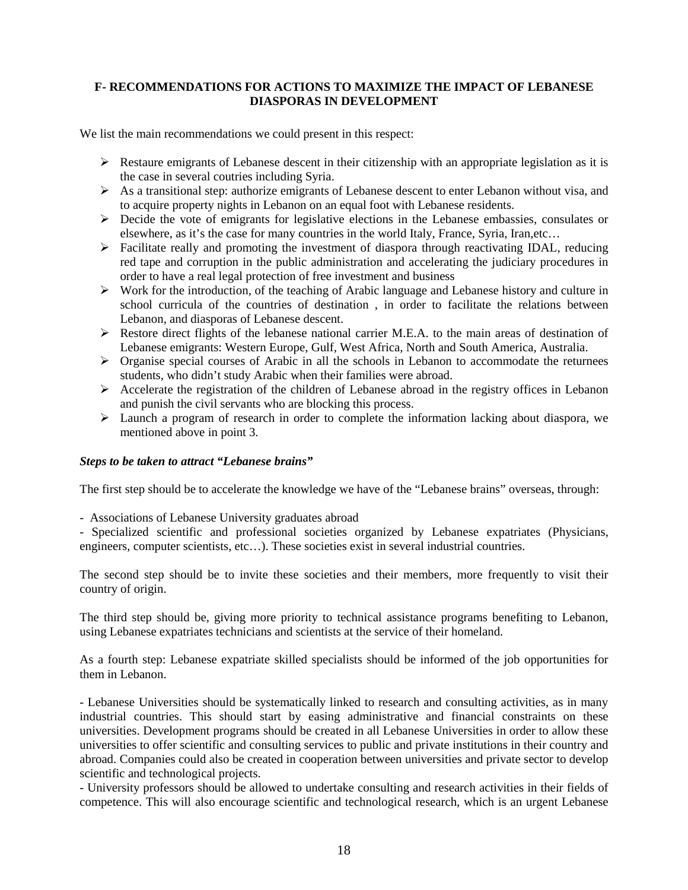#### **F- RECOMMENDATIONS FOR ACTIONS TO MAXIMIZE THE IMPACT OF LEBANESE DIASPORAS IN DEVELOPMENT**

We list the main recommendations we could present in this respect:

- $\triangleright$  Restaure emigrants of Lebanese descent in their citizenship with an appropriate legislation as it is the case in several coutries including Syria.
- ¾ As a transitional step: authorize emigrants of Lebanese descent to enter Lebanon without visa, and to acquire property nights in Lebanon on an equal foot with Lebanese residents.
- ¾ Decide the vote of emigrants for legislative elections in the Lebanese embassies, consulates or elsewhere, as it's the case for many countries in the world Italy, France, Syria, Iran,etc…
- $\triangleright$  Facilitate really and promoting the investment of diaspora through reactivating IDAL, reducing red tape and corruption in the public administration and accelerating the judiciary procedures in order to have a real legal protection of free investment and business
- ¾ Work for the introduction, of the teaching of Arabic language and Lebanese history and culture in school curricula of the countries of destination , in order to facilitate the relations between Lebanon, and diasporas of Lebanese descent.
- ¾ Restore direct flights of the lebanese national carrier M.E.A. to the main areas of destination of Lebanese emigrants: Western Europe, Gulf, West Africa, North and South America, Australia.
- $\triangleright$  Organise special courses of Arabic in all the schools in Lebanon to accommodate the returnees students, who didn't study Arabic when their families were abroad.
- $\triangleright$  Accelerate the registration of the children of Lebanese abroad in the registry offices in Lebanon and punish the civil servants who are blocking this process.
- $\triangleright$  Launch a program of research in order to complete the information lacking about diaspora, we mentioned above in point 3.

#### *Steps to be taken to attract "Lebanese brains"*

The first step should be to accelerate the knowledge we have of the "Lebanese brains" overseas, through:

- Associations of Lebanese University graduates abroad

- Specialized scientific and professional societies organized by Lebanese expatriates (Physicians, engineers, computer scientists, etc...). These societies exist in several industrial countries.

The second step should be to invite these societies and their members, more frequently to visit their country of origin.

The third step should be, giving more priority to technical assistance programs benefiting to Lebanon, using Lebanese expatriates technicians and scientists at the service of their homeland.

As a fourth step: Lebanese expatriate skilled specialists should be informed of the job opportunities for them in Lebanon.

- Lebanese Universities should be systematically linked to research and consulting activities, as in many industrial countries. This should start by easing administrative and financial constraints on these universities. Development programs should be created in all Lebanese Universities in order to allow these universities to offer scientific and consulting services to public and private institutions in their country and abroad. Companies could also be created in cooperation between universities and private sector to develop scientific and technological projects.

- University professors should be allowed to undertake consulting and research activities in their fields of competence. This will also encourage scientific and technological research, which is an urgent Lebanese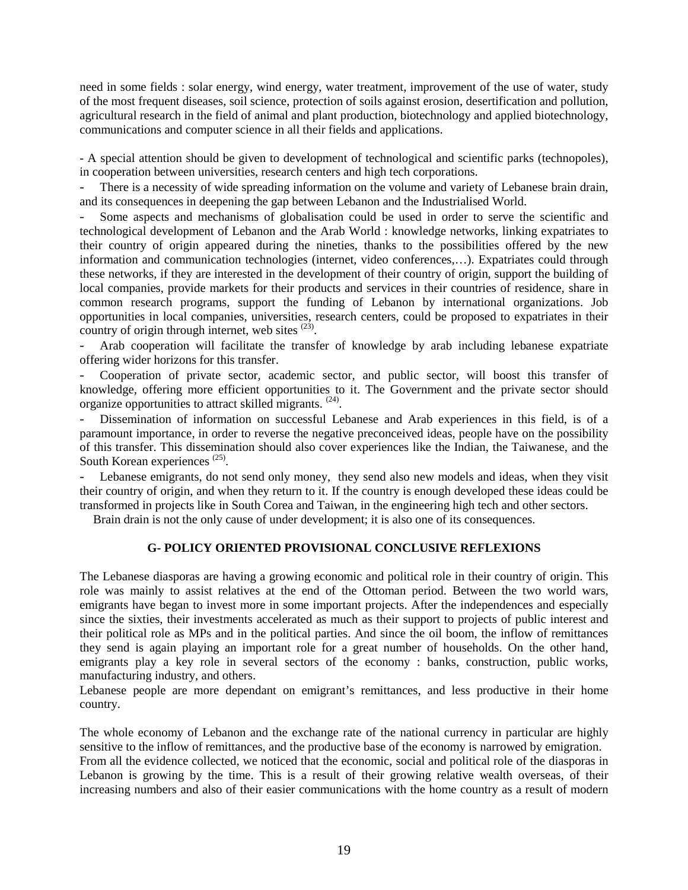need in some fields : solar energy, wind energy, water treatment, improvement of the use of water, study of the most frequent diseases, soil science, protection of soils against erosion, desertification and pollution, agricultural research in the field of animal and plant production, biotechnology and applied biotechnology, communications and computer science in all their fields and applications.

- A special attention should be given to development of technological and scientific parks (technopoles), in cooperation between universities, research centers and high tech corporations.

- There is a necessity of wide spreading information on the volume and variety of Lebanese brain drain, and its consequences in deepening the gap between Lebanon and the Industrialised World.

Some aspects and mechanisms of globalisation could be used in order to serve the scientific and technological development of Lebanon and the Arab World : knowledge networks, linking expatriates to their country of origin appeared during the nineties, thanks to the possibilities offered by the new information and communication technologies (internet, video conferences,…). Expatriates could through these networks, if they are interested in the development of their country of origin, support the building of local companies, provide markets for their products and services in their countries of residence, share in common research programs, support the funding of Lebanon by international organizations. Job opportunities in local companies, universities, research centers, could be proposed to expatriates in their country of origin through internet, web sites  $(23)$ .

- Arab cooperation will facilitate the transfer of knowledge by arab including lebanese expatriate offering wider horizons for this transfer.

- Cooperation of private sector, academic sector, and public sector, will boost this transfer of knowledge, offering more efficient opportunities to it. The Government and the private sector should organize opportunities to attract skilled migrants. (24).

- Dissemination of information on successful Lebanese and Arab experiences in this field, is of a paramount importance, in order to reverse the negative preconceived ideas, people have on the possibility of this transfer. This dissemination should also cover experiences like the Indian, the Taiwanese, and the South Korean experiences<sup>(25)</sup>.

- Lebanese emigrants, do not send only money, they send also new models and ideas, when they visit their country of origin, and when they return to it. If the country is enough developed these ideas could be transformed in projects like in South Corea and Taiwan, in the engineering high tech and other sectors.

Brain drain is not the only cause of under development; it is also one of its consequences.

#### **G- POLICY ORIENTED PROVISIONAL CONCLUSIVE REFLEXIONS**

The Lebanese diasporas are having a growing economic and political role in their country of origin. This role was mainly to assist relatives at the end of the Ottoman period. Between the two world wars, emigrants have began to invest more in some important projects. After the independences and especially since the sixties, their investments accelerated as much as their support to projects of public interest and their political role as MPs and in the political parties. And since the oil boom, the inflow of remittances they send is again playing an important role for a great number of households. On the other hand, emigrants play a key role in several sectors of the economy : banks, construction, public works, manufacturing industry, and others.

Lebanese people are more dependant on emigrant's remittances, and less productive in their home country.

The whole economy of Lebanon and the exchange rate of the national currency in particular are highly sensitive to the inflow of remittances, and the productive base of the economy is narrowed by emigration. From all the evidence collected, we noticed that the economic, social and political role of the diasporas in Lebanon is growing by the time. This is a result of their growing relative wealth overseas, of their increasing numbers and also of their easier communications with the home country as a result of modern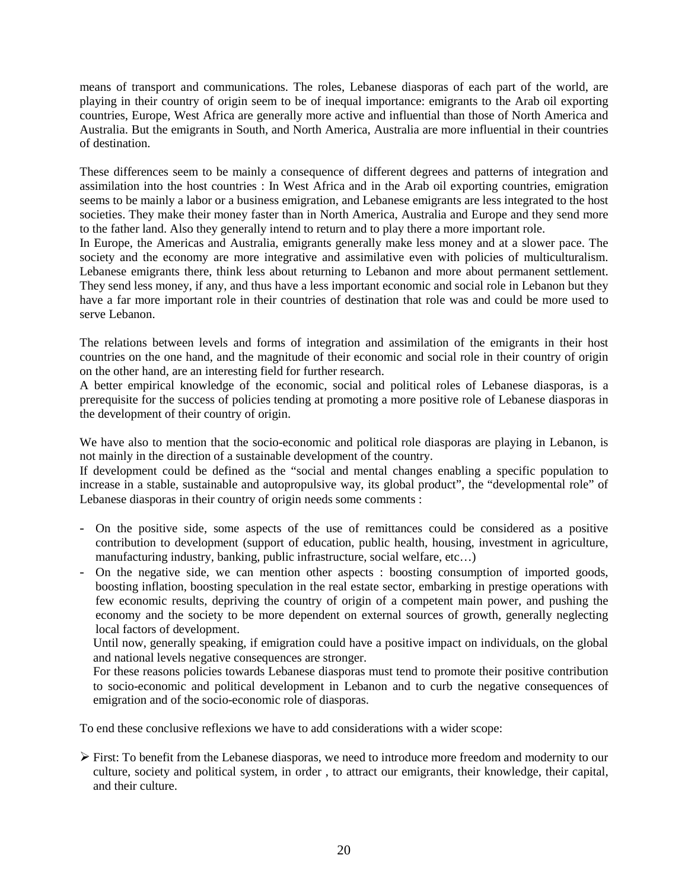means of transport and communications. The roles, Lebanese diasporas of each part of the world, are playing in their country of origin seem to be of inequal importance: emigrants to the Arab oil exporting countries, Europe, West Africa are generally more active and influential than those of North America and Australia. But the emigrants in South, and North America, Australia are more influential in their countries of destination.

These differences seem to be mainly a consequence of different degrees and patterns of integration and assimilation into the host countries : In West Africa and in the Arab oil exporting countries, emigration seems to be mainly a labor or a business emigration, and Lebanese emigrants are less integrated to the host societies. They make their money faster than in North America, Australia and Europe and they send more to the father land. Also they generally intend to return and to play there a more important role.

In Europe, the Americas and Australia, emigrants generally make less money and at a slower pace. The society and the economy are more integrative and assimilative even with policies of multiculturalism. Lebanese emigrants there, think less about returning to Lebanon and more about permanent settlement. They send less money, if any, and thus have a less important economic and social role in Lebanon but they have a far more important role in their countries of destination that role was and could be more used to serve Lebanon.

The relations between levels and forms of integration and assimilation of the emigrants in their host countries on the one hand, and the magnitude of their economic and social role in their country of origin on the other hand, are an interesting field for further research.

A better empirical knowledge of the economic, social and political roles of Lebanese diasporas, is a prerequisite for the success of policies tending at promoting a more positive role of Lebanese diasporas in the development of their country of origin.

We have also to mention that the socio-economic and political role diasporas are playing in Lebanon, is not mainly in the direction of a sustainable development of the country.

If development could be defined as the "social and mental changes enabling a specific population to increase in a stable, sustainable and autopropulsive way, its global product", the "developmental role" of Lebanese diasporas in their country of origin needs some comments :

- On the positive side, some aspects of the use of remittances could be considered as a positive contribution to development (support of education, public health, housing, investment in agriculture, manufacturing industry, banking, public infrastructure, social welfare, etc…)
- On the negative side, we can mention other aspects : boosting consumption of imported goods, boosting inflation, boosting speculation in the real estate sector, embarking in prestige operations with few economic results, depriving the country of origin of a competent main power, and pushing the economy and the society to be more dependent on external sources of growth, generally neglecting local factors of development.

Until now, generally speaking, if emigration could have a positive impact on individuals, on the global and national levels negative consequences are stronger.

For these reasons policies towards Lebanese diasporas must tend to promote their positive contribution to socio-economic and political development in Lebanon and to curb the negative consequences of emigration and of the socio-economic role of diasporas.

To end these conclusive reflexions we have to add considerations with a wider scope:

 $\triangleright$  First: To benefit from the Lebanese diasporas, we need to introduce more freedom and modernity to our culture, society and political system, in order , to attract our emigrants, their knowledge, their capital, and their culture.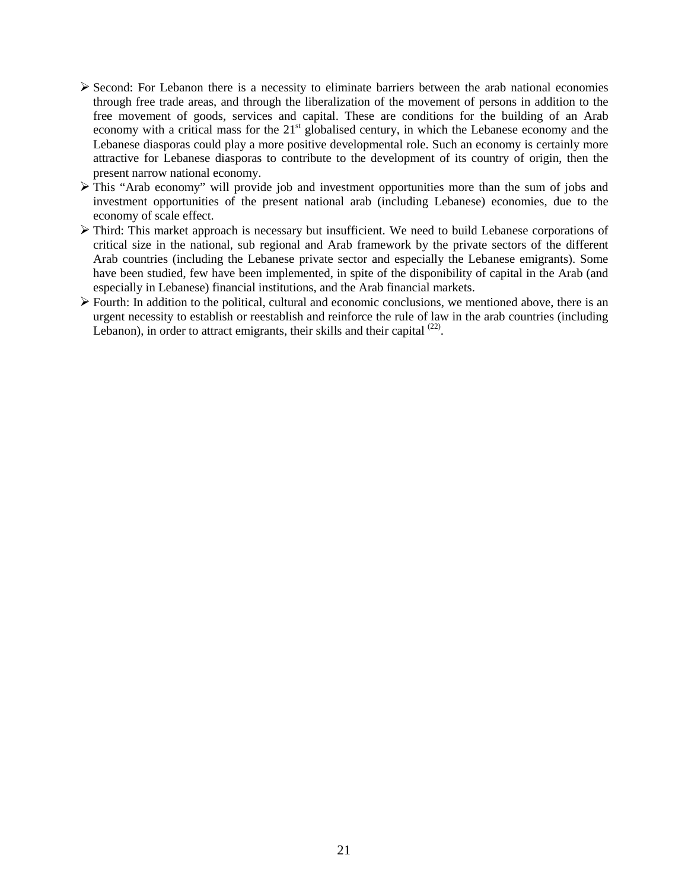- $\triangleright$  Second: For Lebanon there is a necessity to eliminate barriers between the arab national economies through free trade areas, and through the liberalization of the movement of persons in addition to the free movement of goods, services and capital. These are conditions for the building of an Arab economy with a critical mass for the 21<sup>st</sup> globalised century, in which the Lebanese economy and the Lebanese diasporas could play a more positive developmental role. Such an economy is certainly more attractive for Lebanese diasporas to contribute to the development of its country of origin, then the present narrow national economy.
- $\triangleright$  This "Arab economy" will provide job and investment opportunities more than the sum of jobs and investment opportunities of the present national arab (including Lebanese) economies, due to the economy of scale effect.
- ¾ Third: This market approach is necessary but insufficient. We need to build Lebanese corporations of critical size in the national, sub regional and Arab framework by the private sectors of the different Arab countries (including the Lebanese private sector and especially the Lebanese emigrants). Some have been studied, few have been implemented, in spite of the disponibility of capital in the Arab (and especially in Lebanese) financial institutions, and the Arab financial markets.
- $\triangleright$  Fourth: In addition to the political, cultural and economic conclusions, we mentioned above, there is an urgent necessity to establish or reestablish and reinforce the rule of law in the arab countries (including Lebanon), in order to attract emigrants, their skills and their capital  $^{(22)}$ .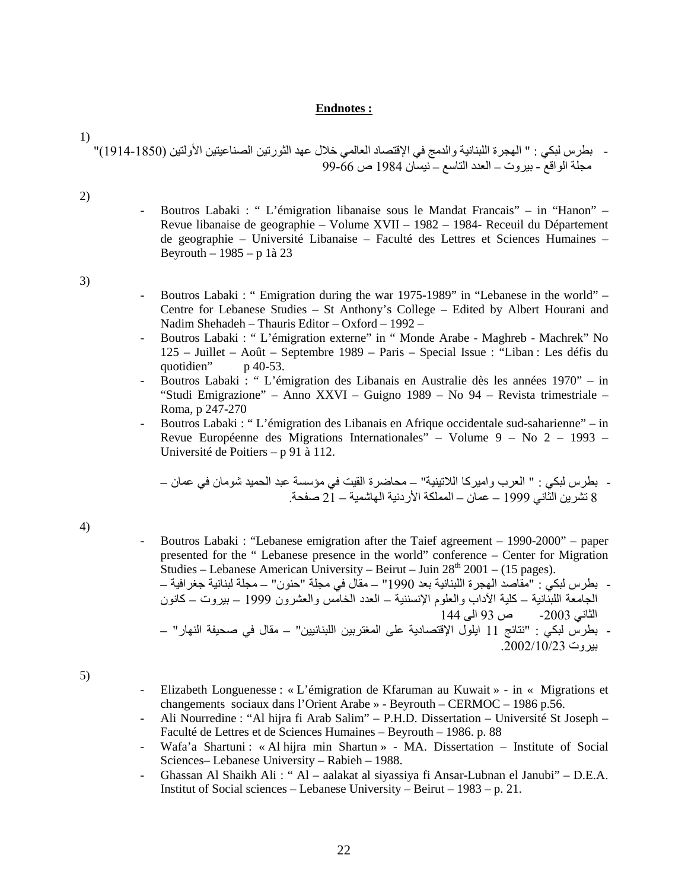#### **Endnotes :**

1) - بطرس لبكي : " الهجرة اللبنانية والدمج في الإقتصاد العالمي خلال عهد الثورتين الصناعيتين الأولتين (1914-1850)" مجلة الواقع - بيروت – العدد التاسع – نيسان 1984 ص 99-66

2)

- Boutros Labaki : " L'émigration libanaise sous le Mandat Francais" – in "Hanon" – Revue libanaise de geographie – Volume XVII – 1982 – 1984- Receuil du Département de geographie – Université Libanaise – Faculté des Lettres et Sciences Humaines – Beyrouth – 1985 – p 1à 23

3)

- Boutros Labaki : " Emigration during the war 1975-1989" in "Lebanese in the world" Centre for Lebanese Studies – St Anthony's College – Edited by Albert Hourani and Nadim Shehadeh – Thauris Editor – Oxford – 1992 –
- Boutros Labaki : " L'émigration externe" in " Monde Arabe Maghreb Machrek" No 125 – Juillet – Août – Septembre 1989 – Paris – Special Issue : "Liban : Les défis du quotidien" p 40-53.
- Boutros Labaki : " L'émigration des Libanais en Australie dès les années 1970" in "Studi Emigrazione" – Anno XXVI – Guigno 1989 – No 94 – Revista trimestriale – Roma, p 247-270
- Boutros Labaki : " L'émigration des Libanais en Afrique occidentale sud-saharienne" in Revue Européenne des Migrations Internationales" – Volume 9 – No 2 – 1993 – Université de Poitiers – p 91 à 112.

- بطرس لبكي : " العرب واميرآا اللاتينية" – محاضرة القيت في مؤسسة عبد الحميد شومان في عمان – 8 تشرین الثاني 1999 – عمان – المملكة الأردنية الهاشمية – 21 صفحة.

4)

- Boutros Labaki : "Lebanese emigration after the Taief agreement – 1990-2000" – paper presented for the " Lebanese presence in the world" conference – Center for Migration Studies – Lebanese American University – Beirut – Juin  $28<sup>th</sup> 2001 - (15 pages)$ . - بطرس لبكي : "مقاصد الهجرة اللبنانية بعد 1990" – مقال في مجلة "حنون" – مجلة لبنانية جغرافية – الجامعة اللبنّانية – كلية الآداب والعلوم الإنسننية – العدد الخامّس والعشرون 1999 – بيروت – كانون الثاني -2003 ص 93 الى 144 - بطرس لبكي : "نتائج 11 ایلول الإقتصادیة على المغتربين اللبنانيين" – مقال في صحيفة النهار" – بيروت .2002/10/23

5)

- Elizabeth Longuenesse : « L'émigration de Kfaruman au Kuwait » in « Migrations et changements sociaux dans l'Orient Arabe » - Beyrouth – CERMOC – 1986 p.56.
- Ali Nourredine : "Al hijra fi Arab Salim" P.H.D. Dissertation Université St Joseph Faculté de Lettres et de Sciences Humaines – Beyrouth – 1986. p. 88
- Wafa'a Shartuni : « Al hijra min Shartun » MA. Dissertation Institute of Social Sciences– Lebanese University – Rabieh – 1988.
- Ghassan Al Shaikh Ali : " Al aalakat al siyassiya fi Ansar-Lubnan el Janubi" D.E.A. Institut of Social sciences – Lebanese University – Beirut – 1983 – p. 21.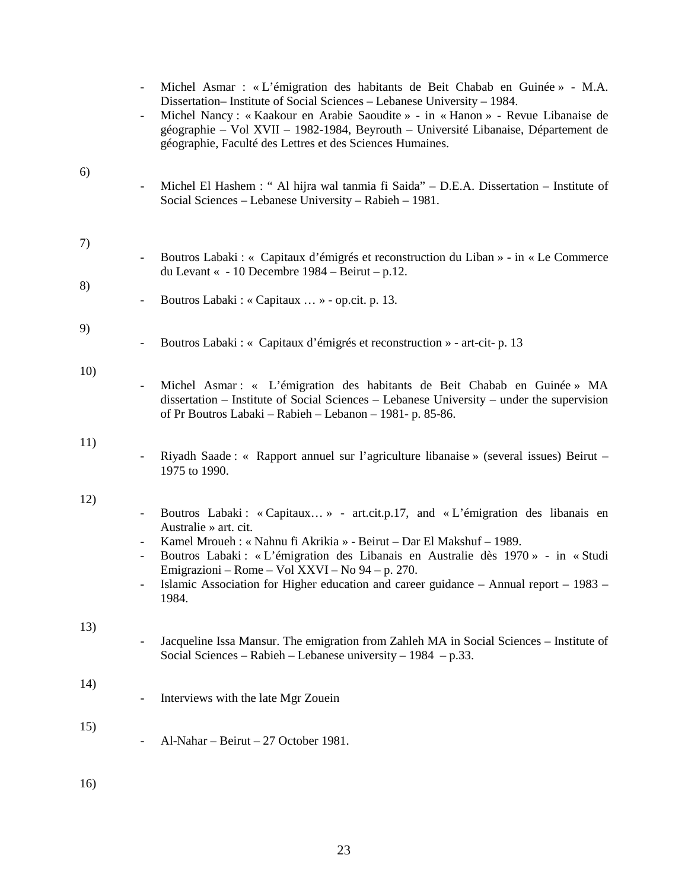|     | $\overline{\phantom{a}}$                                               | Michel Asmar : « L'émigration des habitants de Beit Chabab en Guinée » - M.A.<br>Dissertation-Institute of Social Sciences - Lebanese University - 1984.<br>Michel Nancy: «Kaakour en Arabie Saoudite » - in «Hanon » - Revue Libanaise de<br>géographie – Vol XVII – 1982-1984, Beyrouth – Université Libanaise, Département de<br>géographie, Faculté des Lettres et des Sciences Humaines.                            |
|-----|------------------------------------------------------------------------|--------------------------------------------------------------------------------------------------------------------------------------------------------------------------------------------------------------------------------------------------------------------------------------------------------------------------------------------------------------------------------------------------------------------------|
| 6)  |                                                                        | Michel El Hashem : " Al hijra wal tanmia fi Saida" – D.E.A. Dissertation – Institute of<br>Social Sciences – Lebanese University – Rabieh – 1981.                                                                                                                                                                                                                                                                        |
| 7)  | $\overline{\phantom{a}}$                                               | Boutros Labaki : « Capitaux d'émigrés et reconstruction du Liban » - in « Le Commerce<br>du Levant « - 10 Decembre 1984 – Beirut – p.12.                                                                                                                                                                                                                                                                                 |
| 8)  | $\overline{\phantom{a}}$                                               | Boutros Labaki : « Capitaux  » - op.cit. p. 13.                                                                                                                                                                                                                                                                                                                                                                          |
| 9)  |                                                                        | Boutros Labaki : « Capitaux d'émigrés et reconstruction » - art-cit- p. 13                                                                                                                                                                                                                                                                                                                                               |
| 10) | $\overline{\phantom{a}}$                                               | Michel Asmar: « L'émigration des habitants de Beit Chabab en Guinée » MA<br>dissertation – Institute of Social Sciences – Lebanese University – under the supervision<br>of Pr Boutros Labaki – Rabieh – Lebanon – 1981- p. 85-86.                                                                                                                                                                                       |
| 11) | $\overline{\phantom{a}}$                                               | Riyadh Saade : « Rapport annuel sur l'agriculture libanaise » (several issues) Beirut –<br>1975 to 1990.                                                                                                                                                                                                                                                                                                                 |
| 12) | $\blacksquare$<br>$\overline{\phantom{a}}$<br>$\overline{\phantom{a}}$ | Boutros Labaki: «Capitaux» - art.cit.p.17, and «L'émigration des libanais en<br>Australie » art. cit.<br>Kamel Mroueh : « Nahnu fi Akrikia » - Beirut – Dar El Makshuf – 1989.<br>Boutros Labaki : « L'émigration des Libanais en Australie dès 1970 » - in « Studi<br>Emigrazioni – Rome – Vol XXVI – No 94 – p. 270.<br>Islamic Association for Higher education and career guidance – Annual report – 1983 –<br>1984. |
| 13) |                                                                        | Jacqueline Issa Mansur. The emigration from Zahleh MA in Social Sciences – Institute of<br>Social Sciences – Rabieh – Lebanese university – $1984$ – p.33.                                                                                                                                                                                                                                                               |
| 14) |                                                                        | Interviews with the late Mgr Zouein                                                                                                                                                                                                                                                                                                                                                                                      |
| 15) |                                                                        | Al-Nahar - Beirut - 27 October 1981.                                                                                                                                                                                                                                                                                                                                                                                     |
| 16) |                                                                        |                                                                                                                                                                                                                                                                                                                                                                                                                          |

23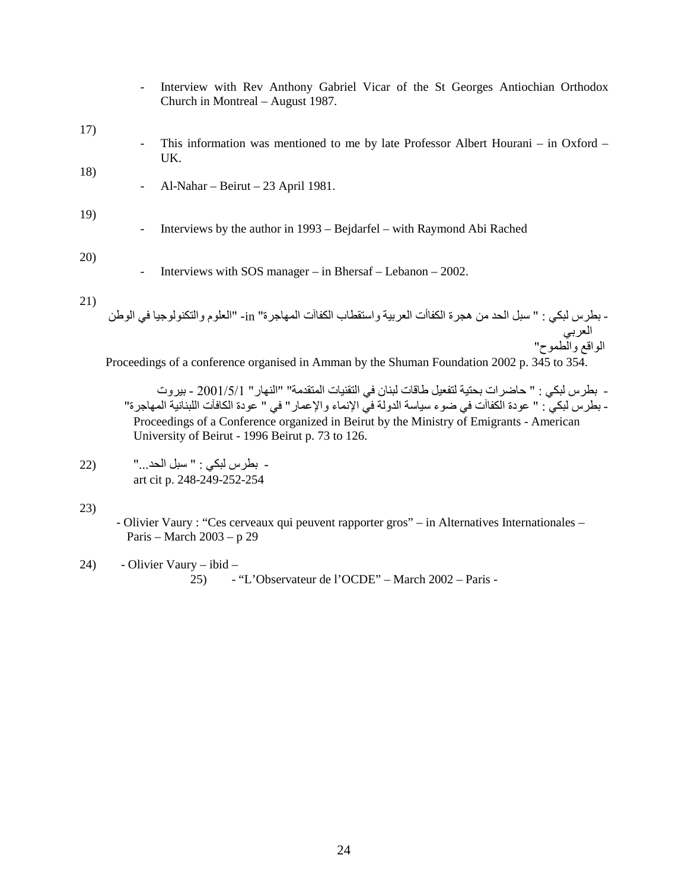|     |                          | Interview with Rev Anthony Gabriel Vicar of the St Georges Antiochian Orthodox<br>Church in Montreal – August 1987. |
|-----|--------------------------|---------------------------------------------------------------------------------------------------------------------|
| 17) |                          |                                                                                                                     |
|     |                          | This information was mentioned to me by late Professor Albert Hourani – in Oxford –<br>UK.                          |
| 18) |                          |                                                                                                                     |
|     | $\overline{\phantom{a}}$ | Al-Nahar – Beirut – 23 April 1981.                                                                                  |
| 19) |                          |                                                                                                                     |
|     |                          | Interviews by the author in 1993 – Bejdarfel – with Raymond Abi Rached                                              |
|     |                          |                                                                                                                     |
| 20) |                          |                                                                                                                     |
|     |                          | Interviews with SOS manager $-$ in Bhersaf $-$ Lebanon $-$ 2002.                                                    |
| 21) |                          |                                                                                                                     |
|     |                          | - بطرس لبكي : " سبل الحد من هجرة الكفاأت العربية واستقطاب الكفاآت المهاجرة" in- "العلوم والتكنولوجيا في الوطن       |
|     |                          | العربي<br>الواقع والطموح"                                                                                           |
|     |                          |                                                                                                                     |
|     |                          | Proceedings of a conference organised in Amman by the Shuman Foundation 2002 p. 345 to 354.                         |

- بطرس لبكي : " حاضرات بحتية لتفعيل طاقات لبنان في التقنيات المتقدمة" "النهار" 2001/5/1 - بيروت - بطرس لبكي : " عودة الكفاآت في ضوء سياسة الدولة في الإنماء والإعمار" في " عودة الكافآت اللبنانية المهاجرة" Proceedings of a Conference organized in Beirut by the Ministry of Emigrants - American University of Beirut - 1996 Beirut p. 73 to 126.

- بطرس لبكي : " سبل الحد..." (22 art cit p. 248-249-252-254

23)

 - Olivier Vaury : "Ces cerveaux qui peuvent rapporter gros" – in Alternatives Internationales – Paris – March 2003 – p 29

24) - Olivier Vaury – ibid – 25) - "L'Observateur de l'OCDE" – March 2002 – Paris -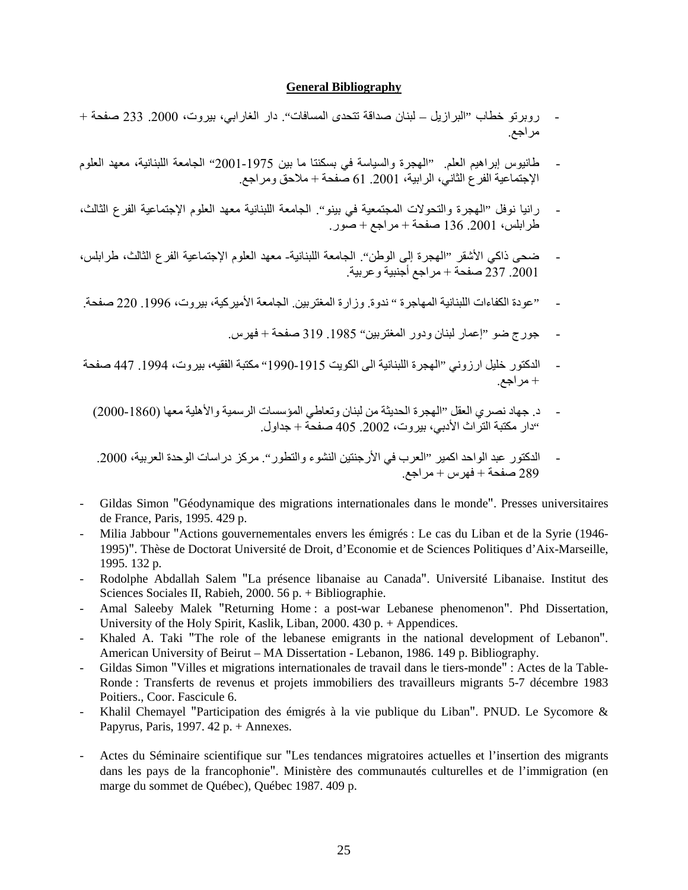#### **General Bibliography**

- روبرتو خطاب "البرازیل لبنان صداقة تتحدى المسافات". دار الغارابي، بيروت، 2000. 233 صفحة + مراجع.
- طانيوس إبراهيم العلم. "الهجرة والسياسة في بسكنتا ما بين 2001-1975" الجامعة اللبنانية، معهد العلوم الإجتماعية الفرع الثاني، الرابية، .2001 61 صفحة + ملاحق ومراجع.
- رانيا نوفل "الهجرة والتحولات المجتمعية في بينو". الجامعة اللبنانية معهد العلوم الإجتماعية الفرع الثالث، طرابلس، .2001 136 صفحة + مراجع + صور.
- ضحى ذاآي الأشقر "الهجرة إلى الوطن". الجامعة اللبنانية- معهد العلوم الإجتماعية الفرع الثالث، طرابلس، .2001 237 صفحة + مراجع أجنبية وعربية.
- "عودة الكفاءات اللبنانية المهاجرة " ندوة. وزارة المغتربين. الجامعة الأميركية، بيروت، 1996. 220 صفحة.
	- جورج ضو "إعمار لبنان ودور المغتربين" .1985 319 صفحة + فهرس.
- الدكتور خليل ارزوني "الهجرة اللبنانية الى الكويت 1915-1990" مكتبة الفقيه، بيروت، 1994. 447 صفحة + مراجع.
	- د. جهاد نصري العقل "الهجرة الحدیثة من لبنان وتعاطي المؤسسات الرسمية والأهلية معها (2000-1860) "دار مكتبة التراث الأدبي، بيروت، .2002 405 صفحة + جداول.
	- الدكتور عبد الواحد اكمير "العرب في الأرجنتين النشوء والتطور". مركز دراسات الوحدة العربية، 2000. 289 صفحة + فهرس + مراجع.
- Gildas Simon "Géodynamique des migrations internationales dans le monde". Presses universitaires de France, Paris, 1995. 429 p.
- Milia Jabbour "Actions gouvernementales envers les émigrés : Le cas du Liban et de la Syrie (1946- 1995)". Thèse de Doctorat Université de Droit, d'Economie et de Sciences Politiques d'Aix-Marseille, 1995. 132 p.
- Rodolphe Abdallah Salem "La présence libanaise au Canada". Université Libanaise. Institut des Sciences Sociales II, Rabieh, 2000. 56 p. + Bibliographie.
- Amal Saleeby Malek "Returning Home : a post-war Lebanese phenomenon". Phd Dissertation, University of the Holy Spirit, Kaslik, Liban, 2000. 430 p. + Appendices.
- Khaled A. Taki "The role of the lebanese emigrants in the national development of Lebanon". American University of Beirut – MA Dissertation - Lebanon, 1986. 149 p. Bibliography.
- Gildas Simon "Villes et migrations internationales de travail dans le tiers-monde" : Actes de la Table-Ronde : Transferts de revenus et projets immobiliers des travailleurs migrants 5-7 décembre 1983 Poitiers., Coor. Fascicule 6.
- Khalil Chemayel "Participation des émigrés à la vie publique du Liban". PNUD. Le Sycomore & Papyrus, Paris, 1997. 42 p. + Annexes.
- Actes du Séminaire scientifique sur "Les tendances migratoires actuelles et l'insertion des migrants dans les pays de la francophonie". Ministère des communautés culturelles et de l'immigration (en marge du sommet de Québec), Québec 1987. 409 p.